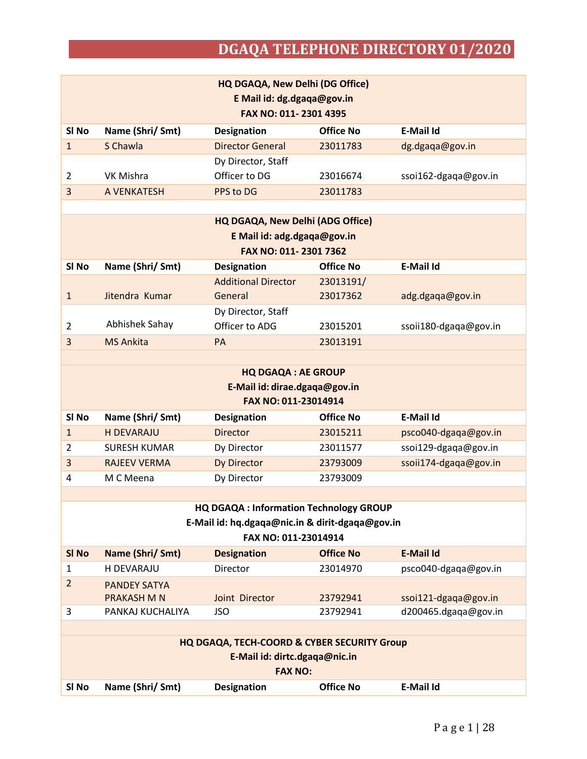| HQ DGAQA, New Delhi (DG Office)<br>E Mail id: dg.dgaqa@gov.in<br>FAX NO: 011-2301 4395 |                  |                    |           |                      |
|----------------------------------------------------------------------------------------|------------------|--------------------|-----------|----------------------|
| SI No                                                                                  | Name (Shri/ Smt) | <b>Designation</b> | Office No | E-Mail Id            |
| 1                                                                                      | S Chawla         | Director General   | 23011783  | dg.dgaqa@gov.in      |
|                                                                                        |                  | Dy Director, Staff |           |                      |
| 2                                                                                      | VK Mishra        | Officer to DG      | 23016674  | ssoi162-dgaga@gov.in |
| 3                                                                                      | A VENKATESH      | PPS to DG          | 23011783  |                      |

| HQ DGAQA, New Delhi (ADG Office)<br>E Mail id: adg.dgaqa@gov.in<br>FAX NO: 011-2301 7362 |                    |                            |           |                       |  |
|------------------------------------------------------------------------------------------|--------------------|----------------------------|-----------|-----------------------|--|
| SI No                                                                                    | Name (Shri/ Smt)   | <b>Designation</b>         | Office No | E-Mail Id             |  |
|                                                                                          |                    | <b>Additional Director</b> | 23013191/ |                       |  |
|                                                                                          | Jitendra Kumar     | General                    | 23017362  | adg.dgaqa@gov.in      |  |
|                                                                                          | Dy Director, Staff |                            |           |                       |  |
| $\overline{\phantom{a}}$                                                                 | Abhishek Sahay     | Officer to ADG             | 23015201  | ssoii180-dgaga@gov.in |  |
| 3                                                                                        | <b>MS Ankita</b>   | PA                         | 23013191  |                       |  |

| <b>HQ DGAQA : AE GROUP</b><br>E-Mail id: dirae.dgaqa@gov.in<br>FAX NO: 011-23014914 |                     |                    |           |                       |
|-------------------------------------------------------------------------------------|---------------------|--------------------|-----------|-----------------------|
| SI No                                                                               | Name (Shri/ Smt)    | <b>Designation</b> | Office No | E-Mail Id             |
| 1                                                                                   | <b>H DEVARAJU</b>   | Director           | 23015211  | psco040-dgaqa@gov.in  |
| $\mathcal{P}$                                                                       | <b>SURESH KUMAR</b> | Dy Director        | 23011577  | ssoi129-dgaqa@gov.in  |
| 3                                                                                   | <b>RAJEEV VERMA</b> | Dy Director        | 23793009  | ssoii174-dgaqa@gov.in |
| 4                                                                                   | M C Meena           | Dy Director        | 23793009  |                       |

### **HQ DGAQA : Information Technology GROUP**

### **E-Mail id: [hq.dgaqa@nic.in &](mailto:hq.dgaqa@nic.in) [dirit-dgaqa@gov.in](mailto:dirit-dgaqa@gov.in)**

| FAX NO: 011-23014914 |                                           |                    |           |                      |
|----------------------|-------------------------------------------|--------------------|-----------|----------------------|
| SI No                | Name (Shri/ Smt)                          | <b>Designation</b> | Office No | E-Mail Id            |
|                      | H DEVARAJU                                | Director           | 23014970  | psco040-dgaga@gov.in |
|                      | <b>PANDEY SATYA</b><br><b>PRAKASH M N</b> | Joint Director     | 23792941  | ssoi121-dgaqa@gov.in |
|                      | PANKAJ KUCHALIYA                          | JSO                | 23792941  | d200465.dgaqa@gov.in |
|                      |                                           |                    |           |                      |

| <b>HQ DGAQA, TECH-COORD &amp; CYBER SECURITY Group</b> |                  |             |                  |           |  |
|--------------------------------------------------------|------------------|-------------|------------------|-----------|--|
| E-Mail id: dirtc.dgaqa@nic.in                          |                  |             |                  |           |  |
| <b>FAX NO:</b>                                         |                  |             |                  |           |  |
| SI No                                                  | Name (Shri/ Smt) | Designation | <b>Office No</b> | E-Mail Id |  |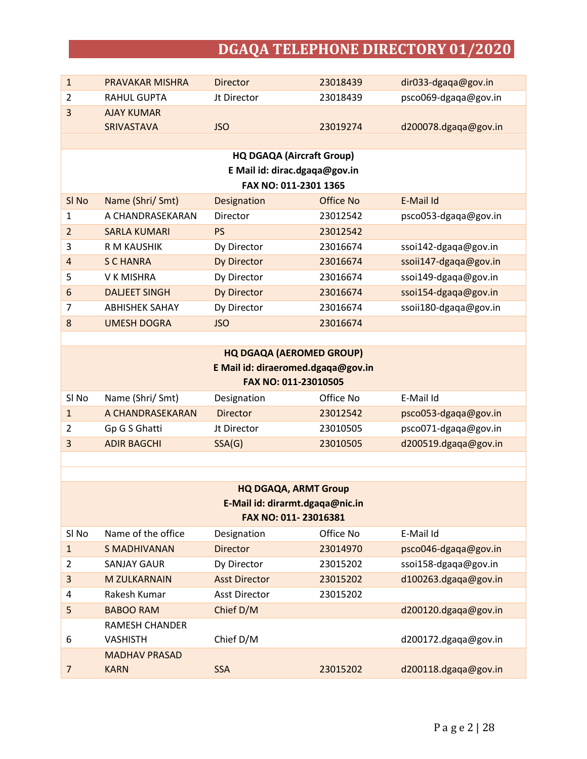| $\mathbf{1}$   | PRAVAKAR MISHRA       | <b>Director</b>                  | 23018439  | dir033-dgaqa@gov.in   |
|----------------|-----------------------|----------------------------------|-----------|-----------------------|
| $\overline{2}$ | RAHUL GUPTA           | <b>Jt Director</b>               | 23018439  | psco069-dgaqa@gov.in  |
| 3              | <b>AJAY KUMAR</b>     |                                  |           |                       |
|                | <b>SRIVASTAVA</b>     | <b>JSO</b>                       | 23019274  | d200078.dgaqa@gov.in  |
|                |                       |                                  |           |                       |
|                |                       | <b>HQ DGAQA (Aircraft Group)</b> |           |                       |
|                |                       | E Mail id: dirac.dgaqa@gov.in    |           |                       |
|                |                       | FAX NO: 011-2301 1365            |           |                       |
| SI No          | Name (Shri/ Smt)      | Designation                      | Office No | E-Mail Id             |
| 1              | A CHANDRASEKARAN      | Director                         | 23012542  | psco053-dgaga@gov.in  |
| $\overline{2}$ | <b>SARLA KUMARI</b>   | <b>PS</b>                        | 23012542  |                       |
| 3              | R M KAUSHIK           | Dy Director                      | 23016674  | ssoi142-dgaga@gov.in  |
| $\overline{4}$ | S C HANRA             | <b>Dy Director</b>               | 23016674  | ssoii147-dgaqa@gov.in |
| 5              | V K MISHRA            | Dy Director                      | 23016674  | ssoi149-dgaga@gov.in  |
| 6              | <b>DALIEET SINGH</b>  | Dy Director                      | 23016674  | ssoi154-dgaga@gov.in  |
| 7              | <b>ABHISHEK SAHAY</b> | Dy Director                      | 23016674  | ssoii180-dgaqa@gov.in |
| 8              | <b>UMESH DOGRA</b>    | <b>JSO</b>                       | 23016674  |                       |
|                |                       |                                  |           |                       |

| HQ DGAQA (AEROMED GROUP)<br>E Mail id: diraeromed.dgaqa@gov.in<br>FAX NO: 011-23010505 |                    |                    |           |                      |  |
|----------------------------------------------------------------------------------------|--------------------|--------------------|-----------|----------------------|--|
| SI No                                                                                  | Name (Shri/ Smt)   | Designation        | Office No | E-Mail Id            |  |
| $\mathbf{1}$                                                                           | A CHANDRASEKARAN   | Director           | 23012542  | psco053-dgaga@gov.in |  |
| 2                                                                                      | Gp G S Ghatti      | <b>Jt Director</b> | 23010505  | psco071-dgaqa@gov.in |  |
|                                                                                        | <b>ADIR BAGCHI</b> | SSA(G)             | 23010505  | d200519.dgaqa@gov.in |  |
|                                                                                        |                    |                    |           |                      |  |

| <b>HQ DGAQA, ARMT Group</b><br>E-Mail id: dirarmt.dgaqa@nic.in<br>FAX NO: 011-23016381 |                       |                      |           |                      |  |
|----------------------------------------------------------------------------------------|-----------------------|----------------------|-----------|----------------------|--|
| SI No                                                                                  | Name of the office    | Designation          | Office No | E-Mail Id            |  |
| 1                                                                                      | S MADHIVANAN          | <b>Director</b>      | 23014970  | psco046-dgaqa@gov.in |  |
| 2                                                                                      | <b>SANJAY GAUR</b>    | Dy Director          | 23015202  | ssoi158-dgaqa@gov.in |  |
| 3                                                                                      | M ZULKARNAIN          | <b>Asst Director</b> | 23015202  | d100263.dgaqa@gov.in |  |
| 4                                                                                      | Rakesh Kumar          | <b>Asst Director</b> | 23015202  |                      |  |
| 5                                                                                      | <b>BABOO RAM</b>      | Chief D/M            |           | d200120.dgaqa@gov.in |  |
|                                                                                        | <b>RAMESH CHANDER</b> |                      |           |                      |  |
| 6                                                                                      | VASHISTH              | Chief D/M            |           | d200172.dgaqa@gov.in |  |
|                                                                                        | <b>MADHAV PRASAD</b>  |                      |           |                      |  |
| 7                                                                                      | <b>KARN</b>           | <b>SSA</b>           | 23015202  | d200118.dgaqa@gov.in |  |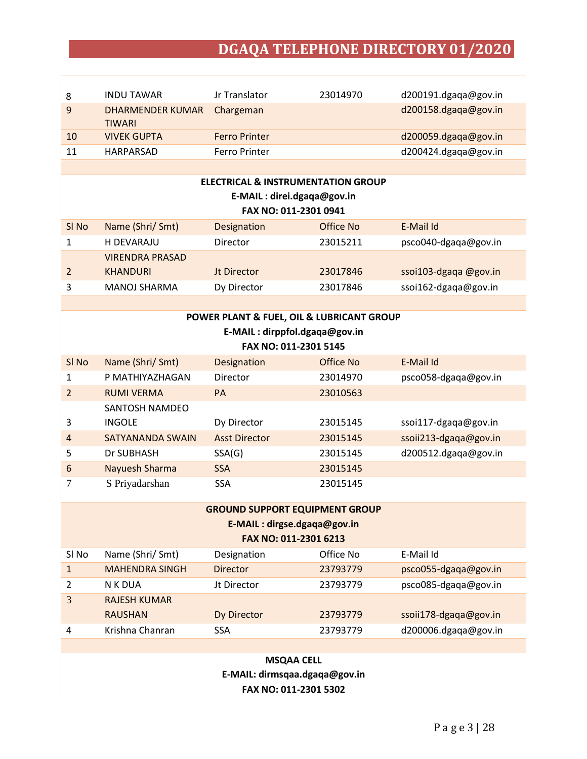| 8                                             | <b>INDU TAWAR</b>                 | Jr Translator              | 23014970  | d200191.dgaqa@gov.in  |
|-----------------------------------------------|-----------------------------------|----------------------------|-----------|-----------------------|
| 9                                             | DHARMENDER KUMAR<br><b>TIWARI</b> | Chargeman                  |           | d200158.dgaqa@gov.in  |
| 10                                            | <b>VIVEK GUPTA</b>                | <b>Ferro Printer</b>       |           | d200059.dgaqa@gov.in  |
| 11                                            | HARPARSAD                         | <b>Ferro Printer</b>       |           | d200424.dgaqa@gov.in  |
|                                               |                                   |                            |           |                       |
| <b>ELECTRICAL &amp; INSTRUMENTATION GROUP</b> |                                   |                            |           |                       |
|                                               |                                   |                            |           |                       |
|                                               |                                   | E-MAIL: direi.dgaqa@gov.in |           |                       |
|                                               |                                   | FAX NO: 011-2301 0941      |           |                       |
| SI <sub>No</sub>                              | Name (Shri/ Smt)                  | Designation                | Office No | E-Mail Id             |
| 1                                             | <b>H DEVARAJU</b>                 | Director                   | 23015211  | psco040-dgaqa@gov.in  |
|                                               | <b>VIRENDRA PRASAD</b>            |                            |           |                       |
| $\overline{2}$                                | <b>KHANDURI</b>                   | <b>Jt Director</b>         | 23017846  | ssoi103-dgaqa @gov.in |

| POWER PLANT & FUEL, OIL & LUBRICANT GROUP<br>E-MAIL: dirppfol.dgaqa@gov.in<br>FAX NO: 011-2301 5145 |                   |                      |           |                       |  |  |
|-----------------------------------------------------------------------------------------------------|-------------------|----------------------|-----------|-----------------------|--|--|
| SI <sub>No</sub>                                                                                    | Name (Shri/ Smt)  | Designation          | Office No | E-Mail Id             |  |  |
| 1                                                                                                   | P MATHIYAZHAGAN   | Director             | 23014970  | psco058-dgaqa@gov.in  |  |  |
| $\overline{2}$                                                                                      | <b>RUMI VERMA</b> | <b>PA</b>            | 23010563  |                       |  |  |
|                                                                                                     | SANTOSH NAMDEO    |                      |           |                       |  |  |
| 3                                                                                                   | <b>INGOLE</b>     | Dy Director          | 23015145  | ssoi117-dgaqa@gov.in  |  |  |
| $\overline{4}$                                                                                      | SATYANANDA SWAIN  | <b>Asst Director</b> | 23015145  | ssoii213-dgaqa@gov.in |  |  |
| 5                                                                                                   | Dr SUBHASH        | SSA(G)               | 23015145  | d200512.dgaqa@gov.in  |  |  |
| 6                                                                                                   | Nayuesh Sharma    | <b>SSA</b>           | 23015145  |                       |  |  |
| 7                                                                                                   | S Priyadarshan    | <b>SSA</b>           | 23015145  |                       |  |  |

| <b>GROUND SUPPORT EQUIPMENT GROUP</b><br>E-MAIL : dirgse.dgaqa@gov.in<br>FAX NO: 011-2301 6213 |                       |             |           |                       |
|------------------------------------------------------------------------------------------------|-----------------------|-------------|-----------|-----------------------|
| SI No                                                                                          | Name (Shri/ Smt)      | Designation | Office No | E-Mail Id             |
| 1                                                                                              | <b>MAHENDRA SINGH</b> | Director    | 23793779  | psco055-dgaqa@gov.in  |
| 2                                                                                              | N K DUA               | Jt Director | 23793779  | psco085-dgaqa@gov.in  |
| 3                                                                                              | <b>RAJESH KUMAR</b>   |             |           |                       |
|                                                                                                | <b>RAUSHAN</b>        | Dy Director | 23793779  | ssoii178-dgaqa@gov.in |
| 4                                                                                              | Krishna Chanran       | <b>SSA</b>  | 23793779  | d200006.dgaqa@gov.in  |
|                                                                                                |                       |             |           |                       |

**MSQAA CELL E-MAIL: [dirmsqaa.dgaqa@gov.in](mailto:dirmsqaa.dgaqa@gov.in) FAX NO: 011-2301 5302**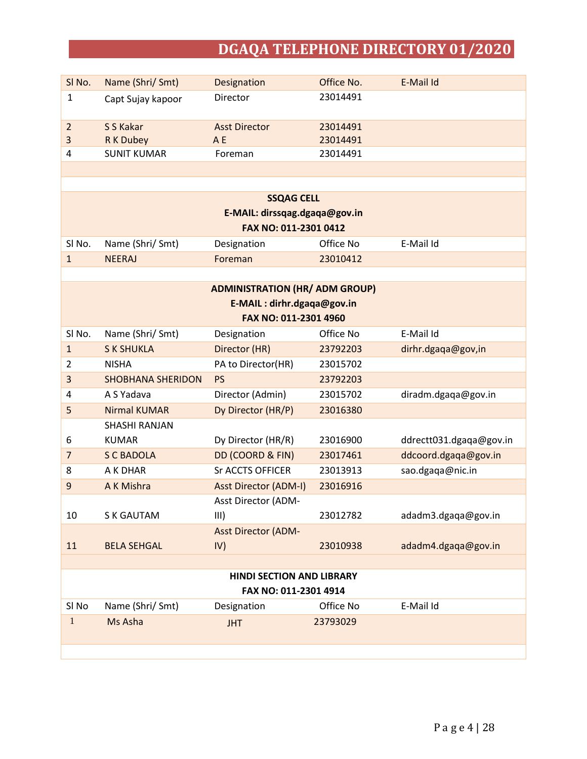| SI No.                | Name (Shri/ Smt)         | Designation                           | Office No. | E-Mail Id               |  |
|-----------------------|--------------------------|---------------------------------------|------------|-------------------------|--|
| $\mathbf{1}$          | Capt Sujay kapoor        | Director                              | 23014491   |                         |  |
|                       |                          |                                       |            |                         |  |
| $\overline{2}$        | S S Kakar                | <b>Asst Director</b>                  | 23014491   |                         |  |
| 3                     | <b>RK Dubey</b>          | A E                                   | 23014491   |                         |  |
| 4                     | <b>SUNIT KUMAR</b>       | Foreman                               | 23014491   |                         |  |
|                       |                          |                                       |            |                         |  |
|                       |                          |                                       |            |                         |  |
|                       |                          | <b>SSQAG CELL</b>                     |            |                         |  |
|                       |                          | E-MAIL: dirssqag.dgaqa@gov.in         |            |                         |  |
|                       |                          | FAX NO: 011-2301 0412                 |            |                         |  |
| SI <sub>No.</sub>     | Name (Shri/ Smt)         | Designation                           | Office No  | E-Mail Id               |  |
| $\mathbf{1}$          | <b>NEERAJ</b>            | Foreman                               | 23010412   |                         |  |
|                       |                          |                                       |            |                         |  |
|                       |                          | <b>ADMINISTRATION (HR/ ADM GROUP)</b> |            |                         |  |
|                       |                          | E-MAIL: dirhr.dgaqa@gov.in            |            |                         |  |
|                       |                          | FAX NO: 011-2301 4960                 |            |                         |  |
| SI No.                | Name (Shri/ Smt)         | Designation                           | Office No  | E-Mail Id               |  |
| $\mathbf{1}$          | <b>S K SHUKLA</b>        | Director (HR)                         | 23792203   | dirhr.dgaqa@gov,in      |  |
| $\overline{2}$        | <b>NISHA</b>             | PA to Director(HR)                    | 23015702   |                         |  |
| 3                     | <b>SHOBHANA SHERIDON</b> | PS                                    | 23792203   |                         |  |
| 4                     | A S Yadava               | Director (Admin)                      | 23015702   | diradm.dgaqa@gov.in     |  |
| 5                     | <b>Nirmal KUMAR</b>      | Dy Director (HR/P)                    | 23016380   |                         |  |
|                       | <b>SHASHI RANJAN</b>     |                                       |            |                         |  |
| 6                     | <b>KUMAR</b>             | Dy Director (HR/R)                    | 23016900   | ddrectt031.dgaqa@gov.in |  |
| $\overline{7}$        | <b>S C BADOLA</b>        | DD (COORD & FIN)                      | 23017461   | ddcoord.dgaqa@gov.in    |  |
| 8                     | A K DHAR                 | <b>Sr ACCTS OFFICER</b>               | 23013913   | sao.dgaqa@nic.in        |  |
| 9                     | A K Mishra               | <b>Asst Director (ADM-I)</b>          | 23016916   |                         |  |
|                       |                          | <b>Asst Director (ADM-</b>            |            |                         |  |
| 10                    | S K GAUTAM               | III)                                  | 23012782   | adadm3.dgaqa@gov.in     |  |
|                       |                          | <b>Asst Director (ADM-</b>            |            |                         |  |
| 11                    | <b>BELA SEHGAL</b>       | IV)                                   | 23010938   | adadm4.dgaqa@gov.in     |  |
|                       |                          |                                       |            |                         |  |
|                       |                          | <b>HINDI SECTION AND LIBRARY</b>      |            |                         |  |
| FAX NO: 011-2301 4914 |                          |                                       |            |                         |  |
| SI <sub>No</sub>      | Name (Shri/ Smt)         | Designation                           | Office No  | E-Mail Id               |  |
| $\mathbf{1}$          | Ms Asha                  | <b>JHT</b>                            | 23793029   |                         |  |
|                       |                          |                                       |            |                         |  |
|                       |                          |                                       |            |                         |  |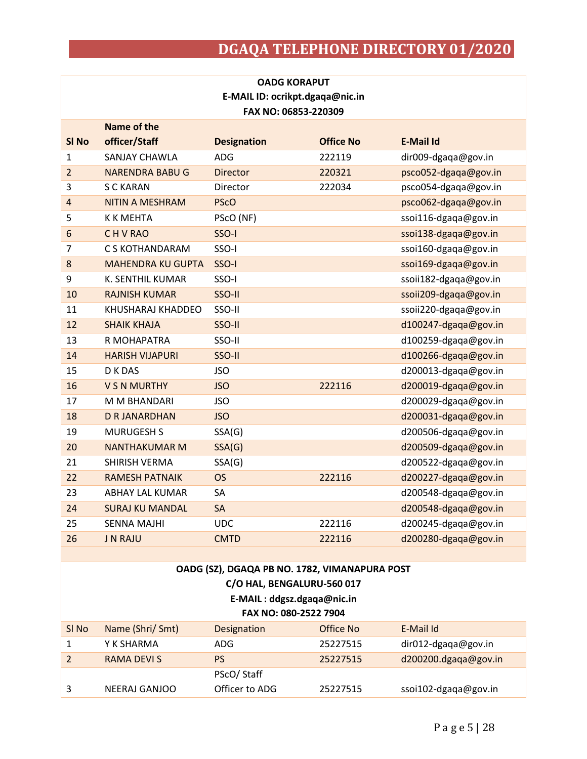### **OADG KORAPUT E-MAIL ID: [ocrikpt.dgaqa@nic.in](mailto:ocrikpt.dgaqa@nic.in) FAX NO: 06853-220309**

|                  | Name of the              |                    |                  |                       |
|------------------|--------------------------|--------------------|------------------|-----------------------|
| SI <sub>No</sub> | officer/Staff            | <b>Designation</b> | <b>Office No</b> | <b>E-Mail Id</b>      |
| 1                | <b>SANJAY CHAWLA</b>     | <b>ADG</b>         | 222119           | dir009-dgaqa@gov.in   |
| $\overline{2}$   | <b>NARENDRA BABU G</b>   | <b>Director</b>    | 220321           | psco052-dgaqa@gov.in  |
| 3                | <b>S C KARAN</b>         | Director           | 222034           | psco054-dgaqa@gov.in  |
| $\overline{4}$   | <b>NITIN A MESHRAM</b>   | <b>PScO</b>        |                  | psco062-dgaqa@gov.in  |
| 5                | <b>KK MEHTA</b>          | PScO (NF)          |                  | ssoi116-dgaqa@gov.in  |
| 6                | CHVRAO                   | SSO-I              |                  | ssoi138-dgaqa@gov.in  |
| $\overline{7}$   | C S KOTHANDARAM          | SSO-I              |                  | ssoi160-dgaqa@gov.in  |
| 8                | <b>MAHENDRA KU GUPTA</b> | SSO-I              |                  | ssoi169-dgaqa@gov.in  |
| 9                | K. SENTHIL KUMAR         | SSO-I              |                  | ssoii182-dgaqa@gov.in |
| 10               | <b>RAJNISH KUMAR</b>     | SSO-II             |                  | ssoii209-dgaqa@gov.in |
| 11               | KHUSHARAJ KHADDEO        | SSO-II             |                  | ssoii220-dgaqa@gov.in |
| 12               | <b>SHAIK KHAJA</b>       | SSO-II             |                  | d100247-dgaqa@gov.in  |
| 13               | R MOHAPATRA              | SSO-II             |                  | d100259-dgaqa@gov.in  |
| 14               | <b>HARISH VIJAPURI</b>   | SSO-II             |                  | d100266-dgaqa@gov.in  |
| 15               | D K DAS                  | <b>JSO</b>         |                  | d200013-dgaqa@gov.in  |
| 16               | <b>V S N MURTHY</b>      | <b>JSO</b>         | 222116           | d200019-dgaqa@gov.in  |
| 17               | M M BHANDARI             | <b>JSO</b>         |                  | d200029-dgaqa@gov.in  |
| 18               | <b>D R JANARDHAN</b>     | <b>JSO</b>         |                  | d200031-dgaqa@gov.in  |
| 19               | <b>MURUGESH S</b>        | SSA(G)             |                  | d200506-dgaqa@gov.in  |
| 20               | <b>NANTHAKUMAR M</b>     | SSA(G)             |                  | d200509-dgaqa@gov.in  |
| 21               | SHIRISH VERMA            | SSA(G)             |                  | d200522-dgaqa@gov.in  |
| 22               | <b>RAMESH PATNAIK</b>    | <b>OS</b>          | 222116           | d200227-dgaqa@gov.in  |
| 23               | ABHAY LAL KUMAR          | SA                 |                  | d200548-dgaqa@gov.in  |
| 24               | <b>SURAJ KU MANDAL</b>   | SA                 |                  | d200548-dgaqa@gov.in  |
| 25               | <b>SENNA MAJHI</b>       | <b>UDC</b>         | 222116           | d200245-dgaqa@gov.in  |
| 26               | <b>J N RAJU</b>          | <b>CMTD</b>        | 222116           | d200280-dgaqa@gov.in  |

| OADG (SZ), DGAQA PB NO. 1782, VIMANAPURA POST<br>C/O HAL, BENGALURU-560 017<br>E-MAIL: ddgsz.dgaqa@nic.in<br>FAX NO: 080-2522 7904 |                   |                              |           |                      |  |
|------------------------------------------------------------------------------------------------------------------------------------|-------------------|------------------------------|-----------|----------------------|--|
| SI <sub>No</sub>                                                                                                                   | Name (Shri/ Smt)  | Designation                  | Office No | E-Mail Id            |  |
| $\mathbf{1}$                                                                                                                       | Y K SHARMA        | ADG.                         | 25227515  | dir012-dgaqa@gov.in  |  |
| $\overline{2}$                                                                                                                     | <b>RAMA DEVIS</b> | <b>PS</b>                    | 25227515  | d200200.dgaqa@gov.in |  |
| 3                                                                                                                                  | NEERAJ GANJOO     | PScO/Staff<br>Officer to ADG | 25227515  | ssoi102-dgaqa@gov.in |  |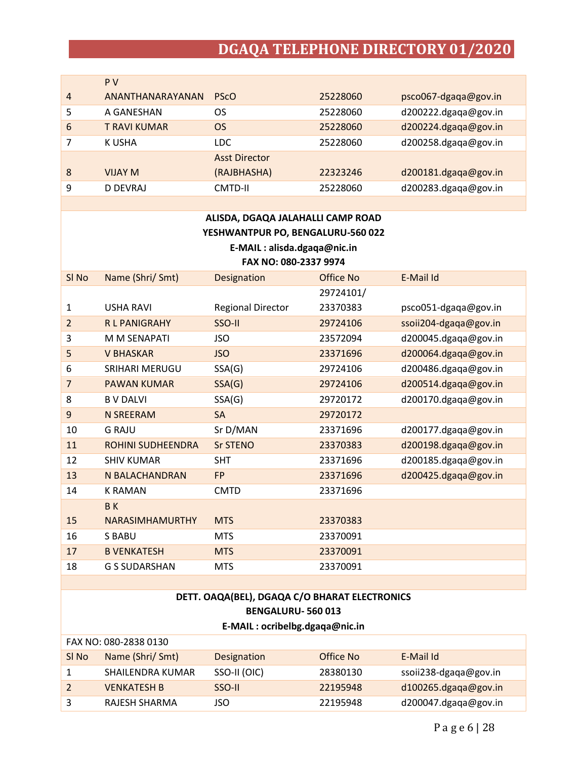|   | P V              |                      |          |                      |
|---|------------------|----------------------|----------|----------------------|
| 4 | ANANTHANARAYANAN | <b>PSCO</b>          | 25228060 | psco067-dgaqa@gov.in |
| 5 | A GANESHAN       | OS                   | 25228060 | d200222.dgaqa@gov.in |
| 6 | T RAVI KUMAR     | <b>OS</b>            | 25228060 | d200224.dgaqa@gov.in |
|   | K USHA           | <b>LDC</b>           | 25228060 | d200258.dgaqa@gov.in |
|   |                  | <b>Asst Director</b> |          |                      |
| 8 | VIJAY M          | (RAJBHASHA)          | 22323246 | d200181.dgaqa@gov.in |
| 9 | D DEVRAJ         | CMTD-II              | 25228060 | d200283.dgaqa@gov.in |

| ALISDA, DGAQA JALAHALLI CAMP ROAD |                                   |                          |           |                       |  |  |
|-----------------------------------|-----------------------------------|--------------------------|-----------|-----------------------|--|--|
|                                   | YESHWANTPUR PO, BENGALURU-560 022 |                          |           |                       |  |  |
|                                   | E-MAIL : alisda.dgaqa@nic.in      |                          |           |                       |  |  |
|                                   |                                   | FAX NO: 080-2337 9974    |           |                       |  |  |
| SI <sub>No</sub>                  | Name (Shri/ Smt)                  | Designation              | Office No | <b>E-Mail Id</b>      |  |  |
|                                   |                                   |                          | 29724101/ |                       |  |  |
| $\mathbf{1}$                      | <b>USHA RAVI</b>                  | <b>Regional Director</b> | 23370383  | psco051-dgaqa@gov.in  |  |  |
| $\overline{2}$                    | <b>RLPANIGRAHY</b>                | SSO-II                   | 29724106  | ssoii204-dgaqa@gov.in |  |  |
| 3                                 | M M SENAPATI                      | <b>JSO</b>               | 23572094  | d200045.dgaqa@gov.in  |  |  |
| 5                                 | <b>V BHASKAR</b>                  | <b>JSO</b>               | 23371696  | d200064.dgaqa@gov.in  |  |  |
| 6                                 | <b>SRIHARI MERUGU</b>             | SSA(G)                   | 29724106  | d200486.dgaqa@gov.in  |  |  |
| $\overline{7}$                    | <b>PAWAN KUMAR</b>                | SSA(G)                   | 29724106  | d200514.dgaqa@gov.in  |  |  |
| 8                                 | <b>B V DALVI</b>                  | SSA(G)                   | 29720172  | d200170.dgaqa@gov.in  |  |  |
| 9                                 | <b>N SREERAM</b>                  | <b>SA</b>                | 29720172  |                       |  |  |
| 10                                | <b>G RAJU</b>                     | Sr D/MAN                 | 23371696  | d200177.dgaqa@gov.in  |  |  |
| 11                                | <b>ROHINI SUDHEENDRA</b>          | <b>Sr STENO</b>          | 23370383  | d200198.dgaqa@gov.in  |  |  |
| 12                                | <b>SHIV KUMAR</b>                 | <b>SHT</b>               | 23371696  | d200185.dgaqa@gov.in  |  |  |
| 13                                | N BALACHANDRAN                    | <b>FP</b>                | 23371696  | d200425.dgaqa@gov.in  |  |  |
| 14                                | <b>K RAMAN</b>                    | <b>CMTD</b>              | 23371696  |                       |  |  |
|                                   | <b>BK</b>                         |                          |           |                       |  |  |
| 15                                | <b>NARASIMHAMURTHY</b>            | <b>MTS</b>               | 23370383  |                       |  |  |
| 16                                | <b>S BABU</b>                     | <b>MTS</b>               | 23370091  |                       |  |  |
| 17                                | <b>B VENKATESH</b>                | <b>MTS</b>               | 23370091  |                       |  |  |
| 18                                | <b>G S SUDARSHAN</b>              | <b>MTS</b>               | 23370091  |                       |  |  |

### **DETT. OAQA(BEL), DGAQA C/O BHARAT ELECTRONICS BENGALURU- 560 013 E-MAIL [: ocribelbg.dgaqa@nic.in](mailto:ocribelbg.dgaqa@nic.in)**

| FAX NO: 080-2838 0130 |                    |              |           |                       |  |
|-----------------------|--------------------|--------------|-----------|-----------------------|--|
| SI No                 | Name (Shri/ Smt)   | Designation  | Office No | E-Mail Id             |  |
|                       | SHAILENDRA KUMAR   | SSO-II (OIC) | 28380130  | ssoii238-dgaqa@gov.in |  |
|                       | <b>VENKATESH B</b> | SSO-II       | 22195948  | d100265.dgada@gov.in  |  |
|                       | RAJESH SHARMA      | JSO          | 22195948  | d200047.dgada@gov.in  |  |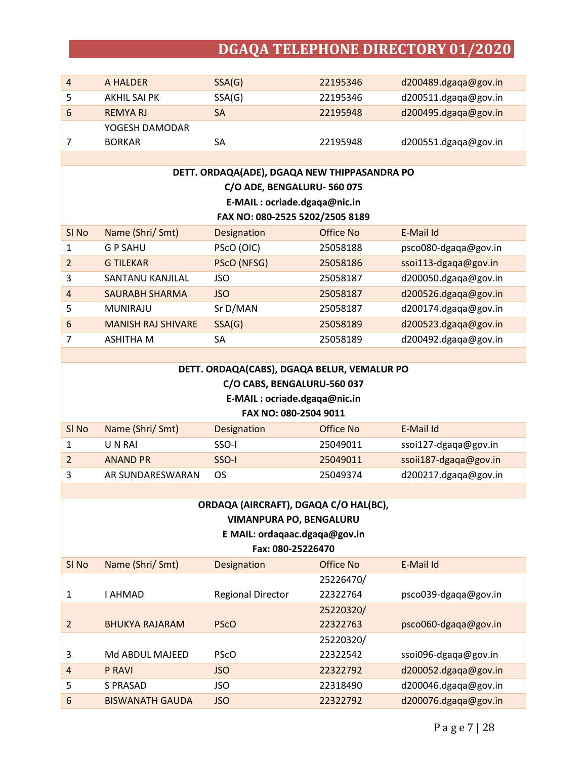| 4 | A HALDER       | SSA(G)    | 22195346 | d200489.dgaqa@gov.in |
|---|----------------|-----------|----------|----------------------|
|   | AKHIL SAI PK   | SSA(G)    | 22195346 | d200511.dgada@gov.in |
| 6 | REMYA RI       | <b>SA</b> | 22195948 | d200495.dgaqa@gov.in |
|   | YOGESH DAMODAR |           |          |                      |
|   | <b>BORKAR</b>  | SA        | 22195948 | d200551.dgaqa@gov.in |

**DETT. ORDAQA(ADE), DGAQA NEW THIPPASANDRA PO C/O ADE, BENGALURU- 560 075 E-MAIL : [ocriade.dgaqa@nic.in](mailto:ocriade.dgaqa@nic.in)**

#### **FAX NO: 080-2525 5202/2505 8189**

| SI No          | Name (Shri/ Smt)          | Designation | Office No | E-Mail Id            |
|----------------|---------------------------|-------------|-----------|----------------------|
| 1              | <b>G P SAHU</b>           | PScO (OIC)  | 25058188  | psco080-dgaqa@gov.in |
| $\mathfrak{p}$ | <b>G TILEKAR</b>          | PScO (NFSG) | 25058186  | ssoi113-dgaqa@gov.in |
| 3              | SANTANU KANJILAL          | JSO         | 25058187  | d200050.dgaqa@gov.in |
| $\overline{4}$ | SAURABH SHARMA            | <b>JSO</b>  | 25058187  | d200526.dgaqa@gov.in |
| 5              | <b>MUNIRAJU</b>           | Sr D/MAN    | 25058187  | d200174.dgaqa@gov.in |
| 6              | <b>MANISH RAJ SHIVARE</b> | SSA(G)      | 25058189  | d200523.dgaqa@gov.in |
|                | ASHITHA M                 | SΑ          | 25058189  | d200492.dgaqa@gov.in |

### **DETT. ORDAQA(CABS), DGAQA BELUR, VEMALUR PO C/O CABS, BENGALURU-560 037**

**E-MAIL : [ocriade.dgaqa@nic.in](mailto:ocriade.dgaqa@nic.in)**

#### **FAX NO: 080-2504 9011**

| SI No | Name (Shri/ Smt) | <b>Designation</b> | Office No | E-Mail Id             |
|-------|------------------|--------------------|-----------|-----------------------|
|       | UN RAI           | SSO-I              | 25049011  | ssoi127-dgaqa@gov.in  |
|       | ANAND PR         | SSO-I              | 25049011  | ssoii187-dgaqa@gov.in |
|       | AR SUNDARESWARAN | ns                 | 25049374  | d200217.dgaqa@gov.in  |

## **ORDAQA (AIRCRAFT), DGAQA C/O HAL(BC),**

**VIMANPURA PO, BENGALURU**

**E MAIL: [ordaqaac.dgaqa@gov.in](mailto:ordaqaac.dgaqa@gov.in)**

#### **Fax: 080-25226470**

| SI No                    | Name (Shri/ Smt)       | Designation              | Office No | E-Mail Id            |
|--------------------------|------------------------|--------------------------|-----------|----------------------|
|                          |                        |                          | 25226470/ |                      |
| 1                        | I AHMAD                | <b>Regional Director</b> | 22322764  | psco039-dgaqa@gov.in |
|                          |                        |                          | 25220320/ |                      |
| $\overline{\mathcal{L}}$ | <b>BHUKYA RAJARAM</b>  | <b>PScO</b>              | 22322763  | psco060-dgaqa@gov.in |
|                          |                        |                          | 25220320/ |                      |
| 3                        | Md ABDUL MAJEED        | <b>PScO</b>              | 22322542  | ssoi096-dgaqa@gov.in |
| $\overline{4}$           | <b>P RAVI</b>          | <b>JSO</b>               | 22322792  | d200052.dgaqa@gov.in |
| 5                        | S PRASAD               | <b>JSO</b>               | 22318490  | d200046.dgaqa@gov.in |
| 6                        | <b>BISWANATH GAUDA</b> | <b>JSO</b>               | 22322792  | d200076.dgaqa@gov.in |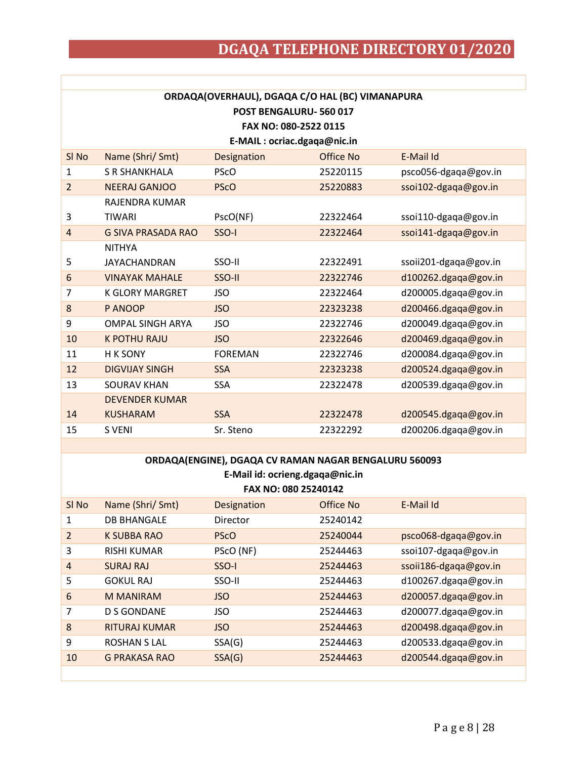| ORDAQA(OVERHAUL), DGAQA C/O HAL (BC) VIMANAPURA<br>POST BENGALURU-560017<br>FAX NO: 080-2522 0115<br>E-MAIL: ocriac.dgaqa@nic.in |                           |                |           |                       |  |
|----------------------------------------------------------------------------------------------------------------------------------|---------------------------|----------------|-----------|-----------------------|--|
| SI <sub>No</sub>                                                                                                                 | Name (Shri/ Smt)          | Designation    | Office No | E-Mail Id             |  |
| $\mathbf{1}$                                                                                                                     | S R SHANKHALA             | <b>PScO</b>    | 25220115  | psco056-dgaga@gov.in  |  |
| $\overline{2}$                                                                                                                   | <b>NEERAJ GANJOO</b>      | <b>PScO</b>    | 25220883  | ssoi102-dgaqa@gov.in  |  |
|                                                                                                                                  | <b>RAJENDRA KUMAR</b>     |                |           |                       |  |
| 3                                                                                                                                | <b>TIWARI</b>             | PscO(NF)       | 22322464  | ssoi110-dgaqa@gov.in  |  |
| $\overline{4}$                                                                                                                   | <b>G SIVA PRASADA RAO</b> | SSO-I          | 22322464  | ssoi141-dgaqa@gov.in  |  |
|                                                                                                                                  | <b>NITHYA</b>             |                |           |                       |  |
| 5                                                                                                                                | <b>JAYACHANDRAN</b>       | SSO-II         | 22322491  | ssoii201-dgaqa@gov.in |  |
| 6                                                                                                                                | <b>VINAYAK MAHALE</b>     | SSO-II         | 22322746  | d100262.dgaqa@gov.in  |  |
| $\overline{7}$                                                                                                                   | <b>K GLORY MARGRET</b>    | <b>JSO</b>     | 22322464  | d200005.dgaqa@gov.in  |  |
| 8                                                                                                                                | P ANOOP                   | <b>JSO</b>     | 22323238  | d200466.dgaqa@gov.in  |  |
| 9                                                                                                                                | <b>OMPAL SINGH ARYA</b>   | <b>JSO</b>     | 22322746  | d200049.dgaqa@gov.in  |  |
| 10                                                                                                                               | <b>K POTHU RAJU</b>       | <b>JSO</b>     | 22322646  | d200469.dgaqa@gov.in  |  |
| 11                                                                                                                               | <b>H K SONY</b>           | <b>FOREMAN</b> | 22322746  | d200084.dgaqa@gov.in  |  |
| 12                                                                                                                               | <b>DIGVIJAY SINGH</b>     | <b>SSA</b>     | 22323238  | d200524.dgaqa@gov.in  |  |
| 13                                                                                                                               | <b>SOURAV KHAN</b>        | <b>SSA</b>     | 22322478  | d200539.dgaqa@gov.in  |  |
|                                                                                                                                  | <b>DEVENDER KUMAR</b>     |                |           |                       |  |
| 14                                                                                                                               | <b>KUSHARAM</b>           | <b>SSA</b>     | 22322478  | d200545.dgaqa@gov.in  |  |
| 15                                                                                                                               | S VENI                    | Sr. Steno      | 22322292  | d200206.dgaga@gov.in  |  |

Г

### **ORDAQA(ENGINE), DGAQA CV RAMAN NAGAR BENGALURU 560093**

**E-Mail id[: ocrieng.dgaqa@nic.in](mailto:ocrieng.dgaqa@nic.in)**

| FAX NO: 080 25240142 |                      |             |           |                       |
|----------------------|----------------------|-------------|-----------|-----------------------|
| SI No                | Name (Shri/ Smt)     | Designation | Office No | E-Mail Id             |
| 1                    | <b>DB BHANGALE</b>   | Director    | 25240142  |                       |
| $\overline{2}$       | <b>K SUBBA RAO</b>   | <b>PScO</b> | 25240044  | psco068-dgaqa@gov.in  |
| 3                    | <b>RISHI KUMAR</b>   | PScO (NF)   | 25244463  | ssoi107-dgaqa@gov.in  |
| $\overline{4}$       | <b>SURAJ RAJ</b>     | SSO-I       | 25244463  | ssoii186-dgaqa@gov.in |
| 5                    | <b>GOKUL RAJ</b>     | SSO-II      | 25244463  | d100267.dgaqa@gov.in  |
| 6                    | M MANIRAM            | <b>JSO</b>  | 25244463  | d200057.dgaqa@gov.in  |
| 7                    | D S GONDANE          | <b>JSO</b>  | 25244463  | d200077.dgaqa@gov.in  |
| 8                    | <b>RITURAJ KUMAR</b> | <b>JSO</b>  | 25244463  | d200498.dgaqa@gov.in  |
| 9                    | <b>ROSHAN S LAL</b>  | SSA(G)      | 25244463  | d200533.dgaqa@gov.in  |
| 10                   | G PRAKASA RAO        | SSA(G)      | 25244463  | d200544.dgaqa@gov.in  |
|                      |                      |             |           |                       |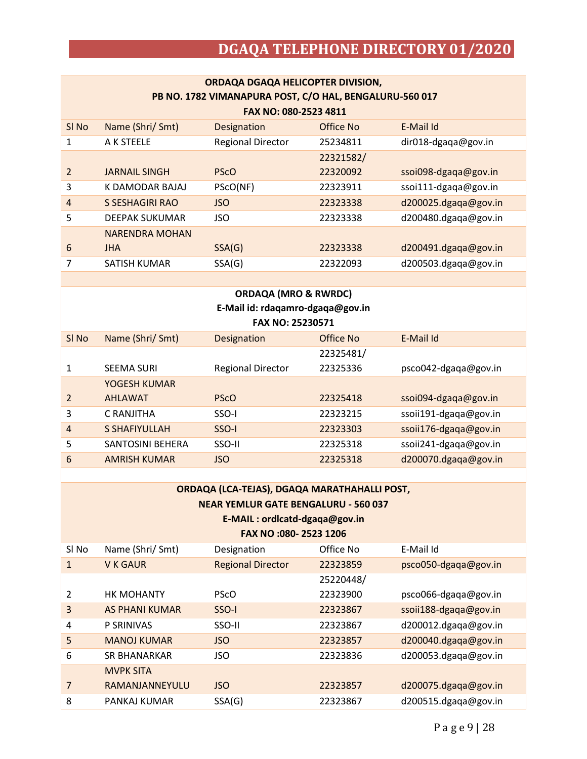| ORDAQA DGAQA HELICOPTER DIVISION, |                       |                                                         |           |                      |
|-----------------------------------|-----------------------|---------------------------------------------------------|-----------|----------------------|
|                                   |                       | PB NO. 1782 VIMANAPURA POST, C/O HAL, BENGALURU-560 017 |           |                      |
|                                   |                       | FAX NO: 080-2523 4811                                   |           |                      |
| SI <sub>No</sub>                  | Name (Shri/ Smt)      | Designation                                             | Office No | E-Mail Id            |
| 1                                 | A K STEELE            | <b>Regional Director</b>                                | 25234811  | dir018-dgaqa@gov.in  |
|                                   |                       |                                                         | 22321582/ |                      |
| $\overline{2}$                    | <b>JARNAIL SINGH</b>  | <b>PScO</b>                                             | 22320092  | ssoi098-dgaga@gov.in |
| 3                                 | K DAMODAR BAJAJ       | PScO(NF)                                                | 22323911  | ssoi111-dgaqa@gov.in |
| $\overline{4}$                    | S SESHAGIRI RAO       | JSO.                                                    | 22323338  | d200025.dgaqa@gov.in |
| 5                                 | <b>DEEPAK SUKUMAR</b> | JSO                                                     | 22323338  | d200480.dgaqa@gov.in |
|                                   | <b>NARENDRA MOHAN</b> |                                                         |           |                      |
| 6                                 | <b>JHA</b>            | SSA(G)                                                  | 22323338  | d200491.dgaqa@gov.in |
| 7                                 | SATISH KUMAR          | SSA(G)                                                  | 22322093  | d200503.dgaqa@gov.in |

### **ORDAQA (MRO & RWRDC) E-Mail id: [rdaqamro-dgaqa@gov.in](mailto:rdaqamro-dgaqa@gov.in)**

#### **FAX NO: 25230571**

| SI <sub>No</sub>         | Name (Shri/ Smt)        | Designation              | Office No | E-Mail Id             |
|--------------------------|-------------------------|--------------------------|-----------|-----------------------|
|                          |                         |                          | 22325481/ |                       |
|                          | <b>SEEMA SURI</b>       | <b>Regional Director</b> | 22325336  | psco042-dgaqa@gov.in  |
|                          | YOGESH KUMAR            |                          |           |                       |
| $\overline{\mathcal{L}}$ | <b>AHLAWAT</b>          | <b>PSCO</b>              | 22325418  | ssoi094-dgaga@gov.in  |
| 3                        | C RANJITHA              | SSO-I                    | 22323215  | ssoii191-dgaqa@gov.in |
| $\overline{4}$           | <b>S SHAFIYULLAH</b>    | SSO-I                    | 22323303  | ssoii176-dgaqa@gov.in |
| 5                        | <b>SANTOSINI BEHERA</b> | SSO-II                   | 22325318  | ssoii241-dgaga@gov.in |
| 6                        | <b>AMRISH KUMAR</b>     | <b>JSO</b>               | 22325318  | d200070.dgaqa@gov.in  |

### **ORDAQA (LCA-TEJAS), DGAQA MARATHAHALLI POST, NEAR YEMLUR GATE BENGALURU - 560 037**

**E-MAIL : [ordlcatd-dgaqa@gov.in](mailto:ordlcatd-dgaqa@gov.in)**

|  |  | FAX NO :080- 2523 1206 |
|--|--|------------------------|
|--|--|------------------------|

| SI No          | Name (Shri/ Smt)      | Designation              | Office No | E-Mail Id             |
|----------------|-----------------------|--------------------------|-----------|-----------------------|
| 1              | <b>V K GAUR</b>       | <b>Regional Director</b> | 22323859  | psco050-dgaqa@gov.in  |
|                |                       |                          | 25220448/ |                       |
| $\mathfrak{p}$ | <b>HK MOHANTY</b>     | <b>PScO</b>              | 22323900  | psco066-dgaqa@gov.in  |
| 3              | <b>AS PHANI KUMAR</b> | SSO-I                    | 22323867  | ssoii188-dgaqa@gov.in |
| 4              | <b>P SRINIVAS</b>     | SSO-II                   | 22323867  | d200012.dgaqa@gov.in  |
| 5              | <b>MANOJ KUMAR</b>    | <b>JSO</b>               | 22323857  | d200040.dgaqa@gov.in  |
| 6              | <b>SR BHANARKAR</b>   | <b>JSO</b>               | 22323836  | d200053.dgaqa@gov.in  |
|                | <b>MVPK SITA</b>      |                          |           |                       |
| 7              | RAMANJANNEYULU        | <b>JSO</b>               | 22323857  | d200075.dgaqa@gov.in  |
| 8              | PANKAJ KUMAR          | SSA(G)                   | 22323867  | d200515.dgaqa@gov.in  |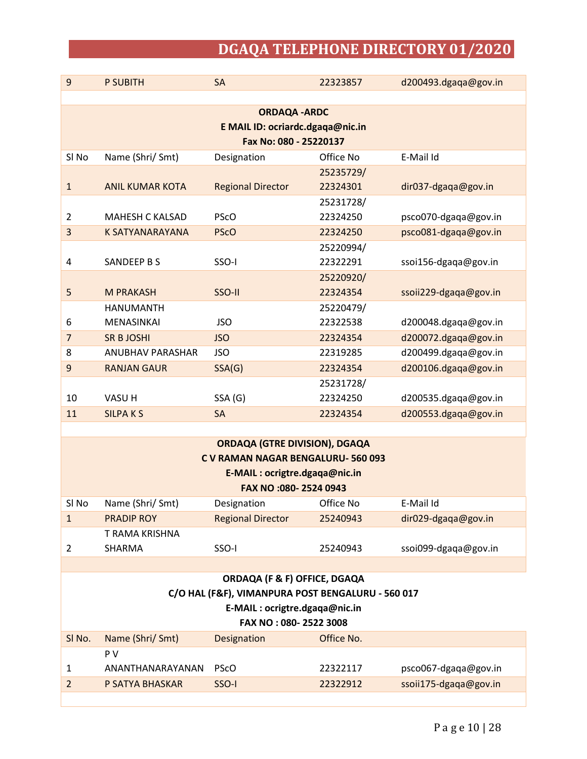| 9                | <b>P SUBITH</b>         | <b>SA</b>                        | 22323857  | d200493.dgaqa@gov.in  |
|------------------|-------------------------|----------------------------------|-----------|-----------------------|
|                  |                         |                                  |           |                       |
|                  |                         | <b>ORDAQA -ARDC</b>              |           |                       |
|                  |                         | E MAIL ID: ocriardc.dgaqa@nic.in |           |                       |
|                  |                         | Fax No: 080 - 25220137           |           |                       |
| SI <sub>No</sub> | Name (Shri/ Smt)        | Designation                      | Office No | E-Mail Id             |
|                  |                         |                                  | 25235729/ |                       |
| $\mathbf{1}$     | <b>ANIL KUMAR KOTA</b>  | <b>Regional Director</b>         | 22324301  | dir037-dgaqa@gov.in   |
|                  |                         |                                  | 25231728/ |                       |
| 2                | <b>MAHESH C KALSAD</b>  | <b>PScO</b>                      | 22324250  | psco070-dgaqa@gov.in  |
| $\overline{3}$   | <b>K SATYANARAYANA</b>  | <b>PScO</b>                      | 22324250  | psco081-dgaqa@gov.in  |
|                  |                         |                                  | 25220994/ |                       |
| 4                | <b>SANDEEP B S</b>      | SSO-I                            | 22322291  | ssoi156-dgaqa@gov.in  |
|                  |                         |                                  | 25220920/ |                       |
| 5                | <b>M PRAKASH</b>        | SSO-II                           | 22324354  | ssoii229-dgaqa@gov.in |
|                  | <b>HANUMANTH</b>        |                                  | 25220479/ |                       |
| 6                | <b>MENASINKAI</b>       | <b>JSO</b>                       | 22322538  | d200048.dgaqa@gov.in  |
| $\overline{7}$   | <b>SR B JOSHI</b>       | <b>JSO</b>                       | 22324354  | d200072.dgaqa@gov.in  |
| 8                | <b>ANUBHAV PARASHAR</b> | <b>JSO</b>                       | 22319285  | d200499.dgaqa@gov.in  |
| 9                | <b>RANJAN GAUR</b>      | SSA(G)                           | 22324354  | d200106.dgaqa@gov.in  |
|                  |                         |                                  | 25231728/ |                       |
| 10               | VASU H                  | SSA (G)                          | 22324250  | d200535.dgaqa@gov.in  |
| 11               | <b>SILPAKS</b>          | <b>SA</b>                        | 22324354  | d200553.dgaqa@gov.in  |
|                  |                         |                                  |           |                       |

| <b>ORDAQA (GTRE DIVISION), DGAQA</b> |                                         |                          |           |                      |  |  |
|--------------------------------------|-----------------------------------------|--------------------------|-----------|----------------------|--|--|
|                                      | <b>CV RAMAN NAGAR BENGALURU-560 093</b> |                          |           |                      |  |  |
|                                      | E-MAIL: ocrigtre.dgaqa@nic.in           |                          |           |                      |  |  |
|                                      | FAX NO :080-2524 0943                   |                          |           |                      |  |  |
| SI No                                | Name (Shri/ Smt)                        | Designation              | Office No | E-Mail Id            |  |  |
|                                      | <b>PRADIP ROY</b>                       | <b>Regional Director</b> | 25240943  | dir029-dgaqa@gov.in  |  |  |
|                                      | T RAMA KRISHNA                          |                          |           |                      |  |  |
|                                      | <b>SHARMA</b>                           | SSO-I                    | 25240943  | ssoi099-dgaqa@gov.in |  |  |
|                                      |                                         |                          |           |                      |  |  |

|        | ORDAQA (F & F) OFFICE, DGAQA |                                                   |            |                         |  |  |
|--------|------------------------------|---------------------------------------------------|------------|-------------------------|--|--|
|        |                              | C/O HAL (F&F), VIMANPURA POST BENGALURU - 560 017 |            |                         |  |  |
|        |                              | E-MAIL: ocrigtre.dgaqa@nic.in                     |            |                         |  |  |
|        | FAX NO: 080-25223008         |                                                   |            |                         |  |  |
| SI No. | Name (Shri/ Smt)             | Designation                                       | Office No. |                         |  |  |
|        | P V                          |                                                   |            |                         |  |  |
|        | ANANTHANARAYANAN             | <b>PSCO</b>                                       | 22322117   | $psco067$ -dgaqa@gov.in |  |  |
|        | P SATYA BHASKAR              | SSO-I                                             | 22322912   | ssoii175-dgaqa@gov.in   |  |  |
|        |                              |                                                   |            |                         |  |  |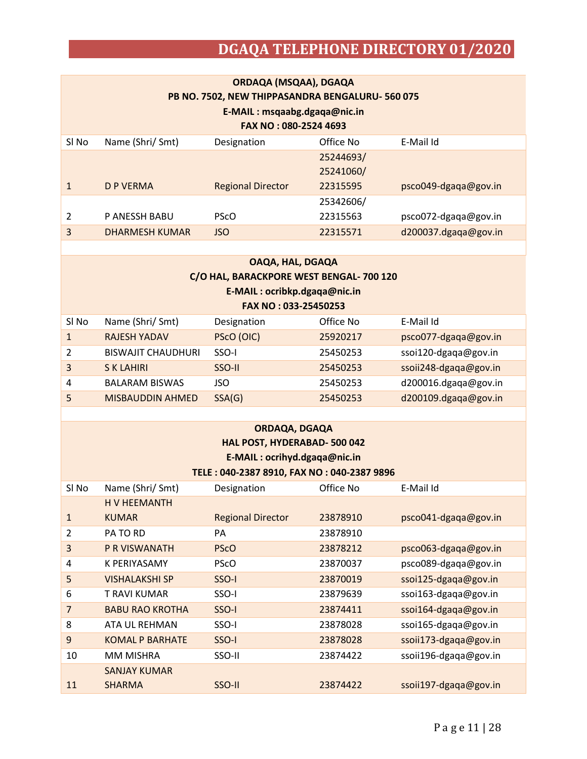| ORDAQA (MSQAA), DGAQA<br>PB NO. 7502, NEW THIPPASANDRA BENGALURU-560 075<br>E-MAIL: msqaabg.dgaqa@nic.in<br>FAX NO: 080-2524 4693 |                      |                          |           |                      |  |
|-----------------------------------------------------------------------------------------------------------------------------------|----------------------|--------------------------|-----------|----------------------|--|
| SI No                                                                                                                             | Name (Shri/ Smt)     | Designation              | Office No | E-Mail Id            |  |
|                                                                                                                                   |                      |                          | 25244693/ |                      |  |
|                                                                                                                                   |                      |                          | 25241060/ |                      |  |
| 1                                                                                                                                 | D P VERMA            | <b>Regional Director</b> | 22315595  | psco049-dgaqa@gov.in |  |
|                                                                                                                                   |                      |                          | 25342606/ |                      |  |
| 2                                                                                                                                 | <b>P ANESSH BABU</b> | <b>PSCO</b>              | 22315563  | psco072-dgaqa@gov.in |  |
| 3                                                                                                                                 | DHARMESH KUMAR       | <b>JSO</b>               | 22315571  | d200037.dgada@gov.in |  |

| OAQA, HAL, DGAQA     |                                          |                              |           |                       |  |  |  |
|----------------------|------------------------------------------|------------------------------|-----------|-----------------------|--|--|--|
|                      | C/O HAL, BARACKPORE WEST BENGAL- 700 120 |                              |           |                       |  |  |  |
|                      |                                          | E-MAIL: ocribkp.dgaqa@nic.in |           |                       |  |  |  |
| FAX NO: 033-25450253 |                                          |                              |           |                       |  |  |  |
| SI No                | Name (Shri/ Smt)                         | Designation                  | Office No | E-Mail Id             |  |  |  |
|                      | <b>RAJESH YADAV</b>                      | PScO (OIC)                   | 25920217  | psco077-dgaqa@gov.in  |  |  |  |
| 2                    | <b>BISWAJIT CHAUDHURI</b>                | SSO-I                        | 25450253  | ssoi120-dgaqa@gov.in  |  |  |  |
| 3                    | <b>S K LAHIRI</b>                        | SSO-II                       | 25450253  | ssoii248-dgaqa@gov.in |  |  |  |
| 4                    | <b>BALARAM BISWAS</b>                    | JSO                          | 25450253  | d200016.dgaqa@gov.in  |  |  |  |
| 5                    | <b>MISBAUDDIN AHMED</b>                  | SSA(G)                       | 25450253  | d200109.dgaqa@gov.in  |  |  |  |
|                      |                                          |                              |           |                       |  |  |  |

| ORDAQA, DGAQA                              |
|--------------------------------------------|
| <b>HAL POST, HYDERABAD-500 042</b>         |
| E-MAIL: ocrihyd.dgaqa@nic.in               |
| TELE: 040-2387 8910, FAX NO: 040-2387 9896 |

| SI No        | Name (Shri/ Smt)       | Designation              | Office No | E-Mail Id             |
|--------------|------------------------|--------------------------|-----------|-----------------------|
|              | <b>H V HEEMANTH</b>    |                          |           |                       |
| $\mathbf{1}$ | <b>KUMAR</b>           | <b>Regional Director</b> | 23878910  | psco041-dgaqa@gov.in  |
| 2            | <b>PA TO RD</b>        | PA                       | 23878910  |                       |
| 3            | <b>P R VISWANATH</b>   | <b>PScO</b>              | 23878212  | psco063-dgaqa@gov.in  |
| 4            | K PERIYASAMY           | <b>PScO</b>              | 23870037  | psco089-dgaqa@gov.in  |
| 5            | <b>VISHALAKSHI SP</b>  | SSO-I                    | 23870019  | ssoi125-dgaqa@gov.in  |
| 6            | T RAVI KUMAR           | SSO-I                    | 23879639  | ssoi163-dgaqa@gov.in  |
| 7            | <b>BABU RAO KROTHA</b> | SSO-I                    | 23874411  | ssoi164-dgaqa@gov.in  |
| 8            | ATA UL REHMAN          | SSO-I                    | 23878028  | ssoi165-dgaga@gov.in  |
| 9            | <b>KOMAL P BARHATE</b> | SSO-I                    | 23878028  | ssoii173-dgaqa@gov.in |
| 10           | <b>MM MISHRA</b>       | SSO-II                   | 23874422  | ssoii196-dgaqa@gov.in |
|              | <b>SANJAY KUMAR</b>    |                          |           |                       |
| 11           | <b>SHARMA</b>          | SSO-II                   | 23874422  | ssoii197-dgaqa@gov.in |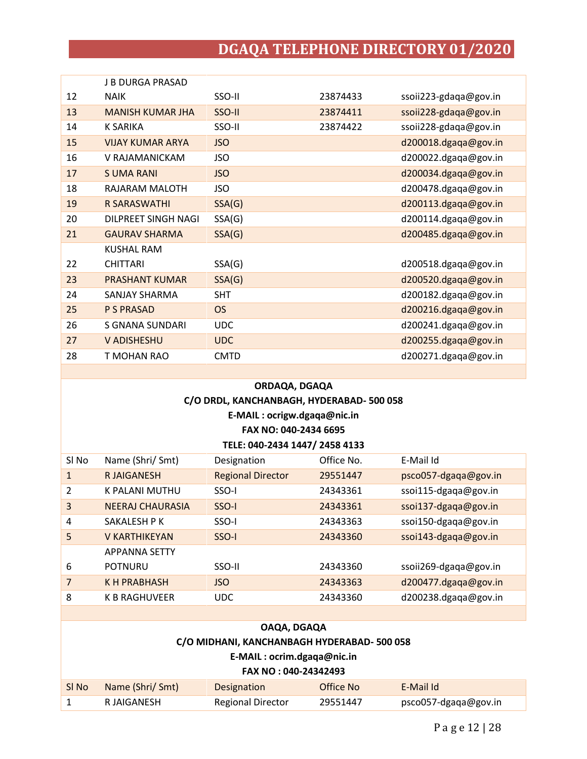|    | J B DURGA PRASAD        |             |          |                       |
|----|-------------------------|-------------|----------|-----------------------|
| 12 | <b>NAIK</b>             | SSO-II      | 23874433 | ssoii223-gdaqa@gov.in |
| 13 | <b>MANISH KUMAR JHA</b> | SSO-II      | 23874411 | ssoii228-gdaqa@gov.in |
| 14 | <b>K SARIKA</b>         | SSO-II      | 23874422 | ssoii228-gdaqa@gov.in |
| 15 | <b>VIJAY KUMAR ARYA</b> | <b>JSO</b>  |          | d200018.dgaqa@gov.in  |
| 16 | V RAJAMANICKAM          | <b>JSO</b>  |          | d200022.dgaqa@gov.in  |
| 17 | <b>SUMA RANI</b>        | <b>JSO</b>  |          | d200034.dgaqa@gov.in  |
| 18 | RAJARAM MALOTH          | <b>JSO</b>  |          | d200478.dgaqa@gov.in  |
| 19 | <b>R SARASWATHI</b>     | SSA(G)      |          | d200113.dgaqa@gov.in  |
| 20 | DILPREET SINGH NAGI     | SSA(G)      |          | d200114.dgaqa@gov.in  |
| 21 | <b>GAURAV SHARMA</b>    | SSA(G)      |          | d200485.dgaqa@gov.in  |
|    | <b>KUSHAL RAM</b>       |             |          |                       |
| 22 | <b>CHITTARI</b>         | SSA(G)      |          | d200518.dgaqa@gov.in  |
| 23 | <b>PRASHANT KUMAR</b>   | SSA(G)      |          | d200520.dgaqa@gov.in  |
| 24 | SANJAY SHARMA           | <b>SHT</b>  |          | d200182.dgaqa@gov.in  |
| 25 | <b>P S PRASAD</b>       | <b>OS</b>   |          | d200216.dgaqa@gov.in  |
| 26 | S GNANA SUNDARI         | <b>UDC</b>  |          | d200241.dgaqa@gov.in  |
| 27 | <b>V ADISHESHU</b>      | <b>UDC</b>  |          | d200255.dgaqa@gov.in  |
| 28 | T MOHAN RAO             | <b>CMTD</b> |          | d200271.dgaqa@gov.in  |

### **ORDAQA, DGAQA C/O DRDL, KANCHANBAGH, HYDERABAD- 500 058 E-MAIL [: ocrigw.dgaqa@nic.in](mailto:ocrigw.dgaqa@nic.in)**

### **FAX NO: 040-2434 6695**

### **TELE: 040-2434 1447/ 2458 4133**

| SI No          | Name (Shri/ Smt)     | Designation              | Office No. | E-Mail Id             |
|----------------|----------------------|--------------------------|------------|-----------------------|
| 1              | <b>RJAIGANESH</b>    | <b>Regional Director</b> | 29551447   | psco057-dgaqa@gov.in  |
| 2              | K PALANI MUTHU       | SSO-I                    | 24343361   | ssoi115-dgaqa@gov.in  |
| 3              | NEERAJ CHAURASIA     | SSO-I                    | 24343361   | ssoi137-dgaqa@gov.in  |
| $\overline{4}$ | SAKALESH P K         | SSO-I                    | 24343363   | ssoi150-dgaqa@gov.in  |
| 5              | <b>V KARTHIKEYAN</b> | SSO-I                    | 24343360   | ssoi143-dgaqa@gov.in  |
|                | <b>APPANNA SETTY</b> |                          |            |                       |
| 6              | <b>POTNURU</b>       | SSO-II                   | 24343360   | ssoii269-dgaqa@gov.in |
| 7              | <b>K H PRABHASH</b>  | <b>JSO</b>               | 24343363   | d200477.dgaqa@gov.in  |
| 8              | K B RAGHUVEER        | <b>UDC</b>               | 24343360   | d200238.dgaqa@gov.in  |
|                |                      |                          |            |                       |

#### **OAQA, DGAQA**

### **C/O MIDHANI, KANCHANBAGH HYDERABAD- 500 058**

#### **E-MAIL : [ocrim.dgaqa@nic.in](mailto:ocrim.dgaqa@nic.in)**

#### **FAX NO : 040-24342493**

| SI No | Name (Shri/ Smt) | <b>Designation</b> | Office No | E-Mail Id            |
|-------|------------------|--------------------|-----------|----------------------|
|       | R JAIGANESH      | Regional Director  | 29551447  | psco057-dgaqa@gov.in |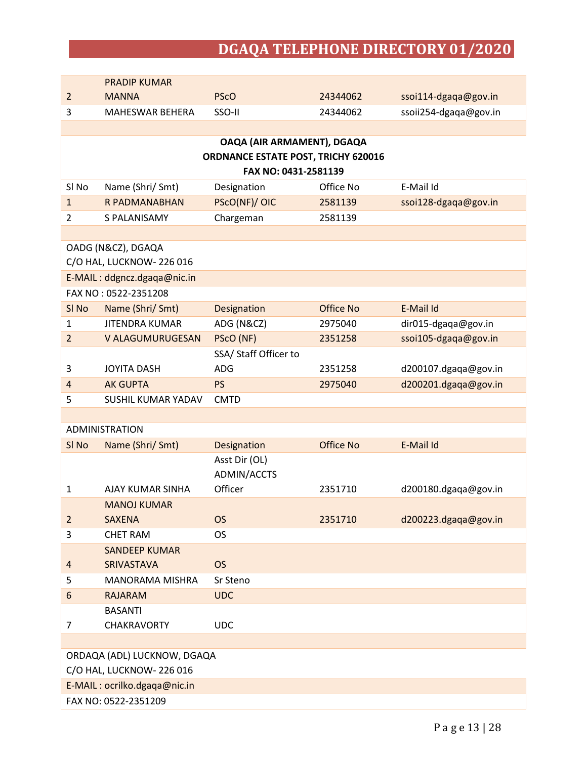|                  | <b>PRADIP KUMAR</b>                 |                                     |                  |                       |  |
|------------------|-------------------------------------|-------------------------------------|------------------|-----------------------|--|
| $\overline{2}$   | <b>MANNA</b>                        | <b>PScO</b>                         | 24344062         | ssoi114-dgaqa@gov.in  |  |
| 3                | <b>MAHESWAR BEHERA</b>              | SSO-II                              | 24344062         | ssoii254-dgaqa@gov.in |  |
|                  |                                     |                                     |                  |                       |  |
|                  |                                     | OAQA (AIR ARMAMENT), DGAQA          |                  |                       |  |
|                  |                                     | ORDNANCE ESTATE POST, TRICHY 620016 |                  |                       |  |
|                  |                                     | FAX NO: 0431-2581139                |                  |                       |  |
| SI <sub>No</sub> | Name (Shri/ Smt)                    | Designation                         | Office No        | E-Mail Id             |  |
| $\mathbf{1}$     | R PADMANABHAN                       | PScO(NF)/OIC                        | 2581139          | ssoi128-dgaqa@gov.in  |  |
| $\overline{2}$   | S PALANISAMY                        | Chargeman                           | 2581139          |                       |  |
|                  |                                     |                                     |                  |                       |  |
|                  | OADG (N&CZ), DGAQA                  |                                     |                  |                       |  |
|                  | C/O HAL, LUCKNOW- 226 016           |                                     |                  |                       |  |
|                  | E-MAIL: ddgncz.dgaqa@nic.in         |                                     |                  |                       |  |
|                  | FAX NO: 0522-2351208                |                                     |                  |                       |  |
| SI <sub>No</sub> | Name (Shri/ Smt)                    | Designation                         | Office No        | E-Mail Id             |  |
| $\mathbf{1}$     | <b>JITENDRA KUMAR</b>               | ADG (N&CZ)                          | 2975040          | dir015-dgaqa@gov.in   |  |
| $\overline{2}$   | V ALAGUMURUGESAN                    | PScO (NF)                           | 2351258          | ssoi105-dgaqa@gov.in  |  |
|                  |                                     | SSA/ Staff Officer to               |                  |                       |  |
| 3                | <b>JOYITA DASH</b>                  | ADG                                 | 2351258          | d200107.dgaqa@gov.in  |  |
| $\overline{4}$   | <b>AK GUPTA</b>                     | PS                                  | 2975040          | d200201.dgaqa@gov.in  |  |
| 5                | <b>SUSHIL KUMAR YADAV</b>           | <b>CMTD</b>                         |                  |                       |  |
|                  |                                     |                                     |                  |                       |  |
|                  | ADMINISTRATION                      |                                     |                  |                       |  |
| SI <sub>No</sub> | Name (Shri/ Smt)                    | Designation                         | <b>Office No</b> | E-Mail Id             |  |
|                  |                                     | Asst Dir (OL)<br>ADMIN/ACCTS        |                  |                       |  |
| $\mathbf{1}$     | AJAY KUMAR SINHA                    | Officer                             | 2351710          | d200180.dgaqa@gov.in  |  |
|                  |                                     |                                     |                  |                       |  |
| $\overline{2}$   | <b>MANOJ KUMAR</b><br><b>SAXENA</b> | <b>OS</b>                           | 2351710          | d200223.dgaqa@gov.in  |  |
| 3                | <b>CHET RAM</b>                     | <b>OS</b>                           |                  |                       |  |
|                  | <b>SANDEEP KUMAR</b>                |                                     |                  |                       |  |
| 4                | <b>SRIVASTAVA</b>                   | <b>OS</b>                           |                  |                       |  |
| 5                | <b>MANORAMA MISHRA</b>              | Sr Steno                            |                  |                       |  |
| 6                | <b>RAJARAM</b>                      | <b>UDC</b>                          |                  |                       |  |
|                  | <b>BASANTI</b>                      |                                     |                  |                       |  |
| 7                | CHAKRAVORTY                         | <b>UDC</b>                          |                  |                       |  |
|                  |                                     |                                     |                  |                       |  |
|                  | ORDAQA (ADL) LUCKNOW, DGAQA         |                                     |                  |                       |  |
|                  | C/O HAL, LUCKNOW-226 016            |                                     |                  |                       |  |
|                  | E-MAIL: ocrilko.dgaqa@nic.in        |                                     |                  |                       |  |

FAX NO: 0522-2351209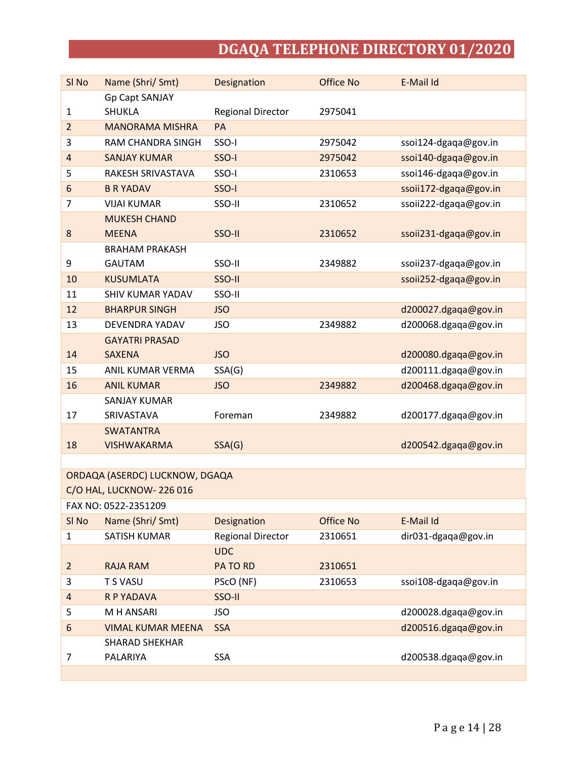| SI <sub>No</sub> | Name (Shri/ Smt)               | Designation              | <b>Office No</b> | E-Mail Id             |
|------------------|--------------------------------|--------------------------|------------------|-----------------------|
|                  | <b>Gp Capt SANJAY</b>          |                          |                  |                       |
| 1                | <b>SHUKLA</b>                  | <b>Regional Director</b> | 2975041          |                       |
| $\overline{2}$   | <b>MANORAMA MISHRA</b>         | PA                       |                  |                       |
| 3                | RAM CHANDRA SINGH              | SSO-I                    | 2975042          | ssoi124-dgaqa@gov.in  |
| $\overline{4}$   | <b>SANJAY KUMAR</b>            | SSO-I                    | 2975042          | ssoi140-dgaqa@gov.in  |
| 5                | RAKESH SRIVASTAVA              | SSO-I                    | 2310653          | ssoi146-dgaqa@gov.in  |
| 6                | <b>B R YADAV</b>               | SSO-I                    |                  | ssoii172-dgaqa@gov.in |
| $\overline{7}$   | <b>VIJAI KUMAR</b>             | SSO-II                   | 2310652          | ssoii222-dgaqa@gov.in |
|                  | <b>MUKESH CHAND</b>            |                          |                  |                       |
| $\bf 8$          | <b>MEENA</b>                   | SSO-II                   | 2310652          | ssoii231-dgaqa@gov.in |
|                  | <b>BRAHAM PRAKASH</b>          |                          |                  |                       |
| 9                | <b>GAUTAM</b>                  | SSO-II                   | 2349882          | ssoii237-dgaqa@gov.in |
| 10               | <b>KUSUMLATA</b>               | SSO-II                   |                  | ssoii252-dgaqa@gov.in |
| 11               | <b>SHIV KUMAR YADAV</b>        | SSO-II                   |                  |                       |
| 12               | <b>BHARPUR SINGH</b>           | <b>JSO</b>               |                  | d200027.dgaqa@gov.in  |
| 13               | DEVENDRA YADAV                 | <b>JSO</b>               | 2349882          | d200068.dgaqa@gov.in  |
|                  | <b>GAYATRI PRASAD</b>          |                          |                  |                       |
| 14               | <b>SAXENA</b>                  | <b>JSO</b>               |                  | d200080.dgaqa@gov.in  |
| 15               | ANIL KUMAR VERMA               | SSA(G)                   |                  | d200111.dgaqa@gov.in  |
| 16               | <b>ANIL KUMAR</b>              | <b>JSO</b>               | 2349882          | d200468.dgaqa@gov.in  |
|                  | <b>SANJAY KUMAR</b>            |                          |                  |                       |
| 17               | SRIVASTAVA                     | Foreman                  | 2349882          | d200177.dgaqa@gov.in  |
|                  | <b>SWATANTRA</b>               |                          |                  |                       |
| 18               | <b>VISHWAKARMA</b>             | SSA(G)                   |                  | d200542.dgaqa@gov.in  |
|                  |                                |                          |                  |                       |
|                  | ORDAQA (ASERDC) LUCKNOW, DGAQA |                          |                  |                       |
|                  | C/O HAL, LUCKNOW-226 016       |                          |                  |                       |
|                  | FAX NO: 0522-2351209           |                          |                  |                       |
| SI <sub>No</sub> | Name (Shri/ Smt)               | Designation              | <b>Office No</b> | E-Mail Id             |
| 1                | <b>SATISH KUMAR</b>            | <b>Regional Director</b> | 2310651          | dir031-dgaqa@gov.in   |
|                  |                                | <b>UDC</b>               |                  |                       |
| $\overline{2}$   | <b>RAJA RAM</b>                | PA TO RD                 | 2310651          |                       |
| 3                | T S VASU                       | PScO (NF)                | 2310653          | ssoi108-dgaqa@gov.in  |
| 4                | R P YADAVA                     | SSO-II                   |                  |                       |
| 5                | M H ANSARI                     | <b>JSO</b>               |                  | d200028.dgaqa@gov.in  |
| 6                | <b>VIMAL KUMAR MEENA</b>       | <b>SSA</b>               |                  | d200516.dgaqa@gov.in  |
|                  | <b>SHARAD SHEKHAR</b>          |                          |                  |                       |
| 7                | PALARIYA                       | SSA                      |                  | d200538.dgaqa@gov.in  |
|                  |                                |                          |                  |                       |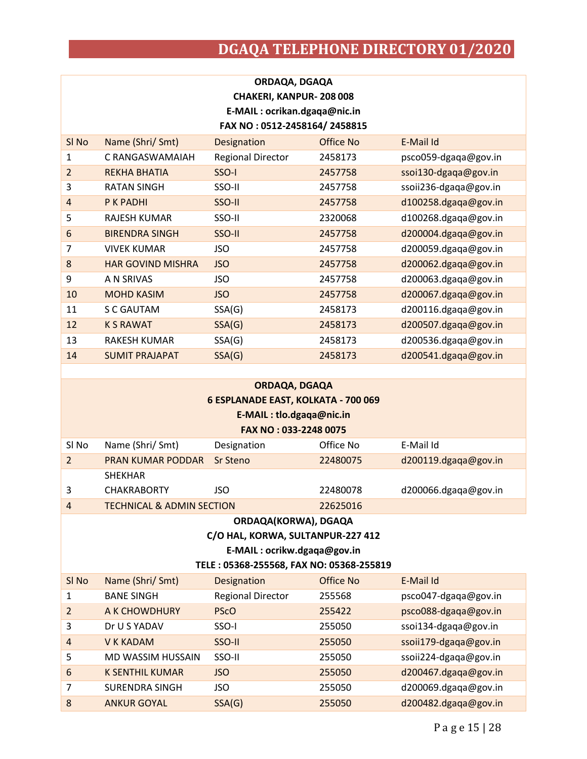| ORDAQA, DGAQA  |                          |                              |                  |                       |  |  |
|----------------|--------------------------|------------------------------|------------------|-----------------------|--|--|
|                | CHAKERI, KANPUR-208008   |                              |                  |                       |  |  |
|                |                          | E-MAIL: ocrikan.dgaqa@nic.in |                  |                       |  |  |
|                |                          | FAX NO: 0512-2458164/2458815 |                  |                       |  |  |
| SI No          | Name (Shri/ Smt)         | Designation                  | <b>Office No</b> | E-Mail Id             |  |  |
| 1              | C RANGASWAMAIAH          | <b>Regional Director</b>     | 2458173          | psco059-dgaqa@gov.in  |  |  |
| $\overline{2}$ | <b>REKHA BHATIA</b>      | SSO-I                        | 2457758          | ssoi130-dgaqa@gov.in  |  |  |
| 3              | <b>RATAN SINGH</b>       | SSO-II                       | 2457758          | ssoii236-dgaqa@gov.in |  |  |
| $\overline{4}$ | P K PADHI                | SSO-II                       | 2457758          | d100258.dgaqa@gov.in  |  |  |
| 5              | RAJESH KUMAR             | SSO-II                       | 2320068          | d100268.dgaqa@gov.in  |  |  |
| 6              | <b>BIRENDRA SINGH</b>    | SSO-II                       | 2457758          | d200004.dgaqa@gov.in  |  |  |
| 7              | <b>VIVEK KUMAR</b>       | <b>JSO</b>                   | 2457758          | d200059.dgaqa@gov.in  |  |  |
| 8              | <b>HAR GOVIND MISHRA</b> | <b>JSO</b>                   | 2457758          | d200062.dgaqa@gov.in  |  |  |
| 9              | A N SRIVAS               | <b>JSO</b>                   | 2457758          | d200063.dgaqa@gov.in  |  |  |
| 10             | <b>MOHD KASIM</b>        | <b>JSO</b>                   | 2457758          | d200067.dgaqa@gov.in  |  |  |
| 11             | S C GAUTAM               | SSA(G)                       | 2458173          | d200116.dgaqa@gov.in  |  |  |
| 12             | <b>K S RAWAT</b>         | SSA(G)                       | 2458173          | d200507.dgaqa@gov.in  |  |  |
| 13             | <b>RAKESH KUMAR</b>      | SSA(G)                       | 2458173          | d200536.dgaqa@gov.in  |  |  |
| 14             | <b>SUMIT PRAJAPAT</b>    | SSA(G)                       | 2458173          | d200541.dgaqa@gov.in  |  |  |

### **ORDAQA, DGAQA 6 ESPLANADE EAST, KOLKATA - 700 069 E-MAIL [: tlo.dgaqa@nic.in](mailto:tlo.dgaqa@nic.in)**

**FAX NO : 033-2248 0075**

| I AA IYO . 033-2240 0073 |                                      |                 |           |                      |
|--------------------------|--------------------------------------|-----------------|-----------|----------------------|
| SI No                    | Name (Shri/ Smt)                     | Designation     | Office No | E-Mail Id            |
|                          | <b>PRAN KUMAR PODDAR</b>             | <b>Sr</b> Steno | 22480075  | d200119.dgaqa@gov.in |
|                          | <b>SHEKHAR</b>                       |                 |           |                      |
| 3                        | <b>CHAKRABORTY</b>                   | JSO             | 22480078  | d200066.dgaqa@gov.in |
| 4                        | <b>TECHNICAL &amp; ADMIN SECTION</b> |                 | 22625016  |                      |

#### **ORDAQA(KORWA), DGAQA**

**C/O HAL, KORWA, SULTANPUR-227 412**

**E-MAIL : [ocrikw.dgaqa@gov.in](mailto:ocrikw.dgaqa@gov.in)**

#### **TELE : 05368-255568, FAX NO: 05368-255819**

| SI <sub>No</sub> | Name (Shri/ Smt)       | Designation              | Office No | E-Mail Id             |
|------------------|------------------------|--------------------------|-----------|-----------------------|
|                  | <b>BANE SINGH</b>      | <b>Regional Director</b> | 255568    | psco047-dgaqa@gov.in  |
| 2                | A K CHOWDHURY          | <b>PScO</b>              | 255422    | psco088-dgaqa@gov.in  |
| 3                | Dr U S YADAV           | SSO-I                    | 255050    | ssoi134-dgaqa@gov.in  |
| $\overline{4}$   | <b>V K KADAM</b>       | SSO-II                   | 255050    | ssoii179-dgaqa@gov.in |
| 5                | MD WASSIM HUSSAIN      | SSO-II                   | 255050    | ssoii224-dgaqa@gov.in |
| 6                | <b>K SENTHIL KUMAR</b> | <b>JSO</b>               | 255050    | d200467.dgaqa@gov.in  |
| 7                | <b>SURENDRA SINGH</b>  | <b>JSO</b>               | 255050    | d200069.dgaqa@gov.in  |
| 8                | <b>ANKUR GOYAL</b>     | SSA(G)                   | 255050    | d200482.dgaqa@gov.in  |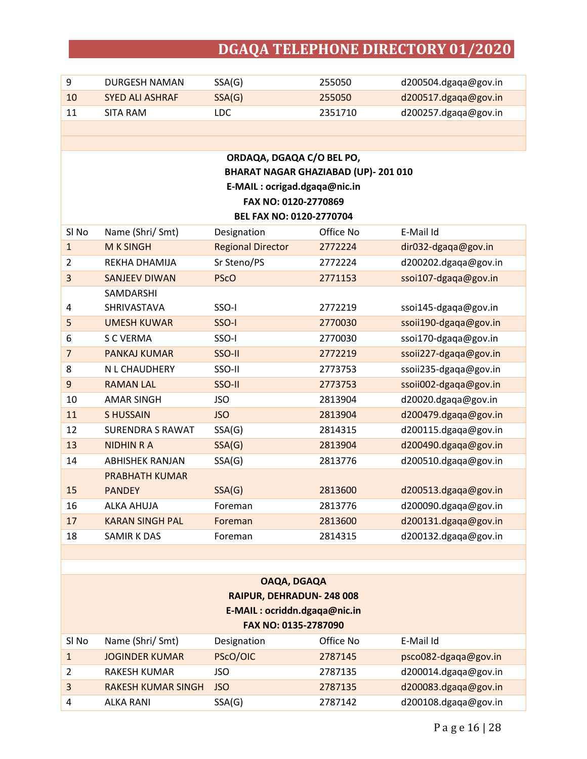| 9                    | <b>DURGESH NAMAN</b>    | SSA(G)                                    | 255050    | d200504.dgaqa@gov.in  |  |
|----------------------|-------------------------|-------------------------------------------|-----------|-----------------------|--|
| 10                   | <b>SYED ALI ASHRAF</b>  | SSA(G)                                    | 255050    | d200517.dgaqa@gov.in  |  |
| 11                   | <b>SITA RAM</b>         | <b>LDC</b>                                | 2351710   | d200257.dgaqa@gov.in  |  |
|                      |                         |                                           |           |                       |  |
|                      |                         |                                           |           |                       |  |
|                      |                         | ORDAQA, DGAQA C/O BEL PO,                 |           |                       |  |
|                      |                         | <b>BHARAT NAGAR GHAZIABAD (UP)-201010</b> |           |                       |  |
|                      |                         | E-MAIL: ocrigad.dgaqa@nic.in              |           |                       |  |
|                      |                         | FAX NO: 0120-2770869                      |           |                       |  |
|                      |                         | BEL FAX NO: 0120-2770704                  |           |                       |  |
| SI <sub>No</sub>     | Name (Shri/ Smt)        | Designation                               | Office No | E-Mail Id             |  |
| $\mathbf{1}$         | <b>M K SINGH</b>        | <b>Regional Director</b>                  | 2772224   | dir032-dgaqa@gov.in   |  |
| $\overline{2}$       | REKHA DHAMIJA           | Sr Steno/PS                               | 2772224   | d200202.dgaqa@gov.in  |  |
| 3                    | <b>SANJEEV DIWAN</b>    | <b>PScO</b>                               | 2771153   | ssoi107-dgaqa@gov.in  |  |
|                      | SAMDARSHI               |                                           |           |                       |  |
| 4                    | SHRIVASTAVA             | SSO-I                                     | 2772219   | ssoi145-dgaqa@gov.in  |  |
| 5                    | <b>UMESH KUWAR</b>      | SSO-I                                     | 2770030   | ssoii190-dgaqa@gov.in |  |
| 6                    | S C VERMA               | SSO-I                                     | 2770030   | ssoi170-dgaqa@gov.in  |  |
| $\overline{7}$       | <b>PANKAJ KUMAR</b>     | SSO-II                                    | 2772219   | ssoii227-dgaqa@gov.in |  |
| 8                    | N L CHAUDHERY           | SSO-II                                    | 2773753   | ssoii235-dgaqa@gov.in |  |
| 9                    | <b>RAMAN LAL</b>        | SSO-II                                    | 2773753   | ssoii002-dgaqa@gov.in |  |
| 10                   | <b>AMAR SINGH</b>       | <b>JSO</b>                                | 2813904   | d20020.dgaqa@gov.in   |  |
| 11                   | <b>SHUSSAIN</b>         | <b>JSO</b>                                | 2813904   | d200479.dgaqa@gov.in  |  |
| 12                   | <b>SURENDRA S RAWAT</b> | SSA(G)                                    | 2814315   | d200115.dgaqa@gov.in  |  |
| 13                   | <b>NIDHIN R A</b>       | SSA(G)                                    | 2813904   | d200490.dgaqa@gov.in  |  |
| 14                   | <b>ABHISHEK RANJAN</b>  | SSA(G)                                    | 2813776   | d200510.dgaqa@gov.in  |  |
|                      | <b>PRABHATH KUMAR</b>   |                                           |           |                       |  |
| 15                   | <b>PANDEY</b>           | SSA(G)                                    | 2813600   | d200513.dgaqa@gov.in  |  |
| 16                   | <b>ALKA AHUJA</b>       | Foreman                                   | 2813776   | d200090.dgaqa@gov.in  |  |
| 17                   | <b>KARAN SINGH PAL</b>  | Foreman                                   | 2813600   | d200131.dgaqa@gov.in  |  |
| 18                   | <b>SAMIRK DAS</b>       | Foreman                                   | 2814315   | d200132.dgaqa@gov.in  |  |
|                      |                         |                                           |           |                       |  |
|                      |                         |                                           |           |                       |  |
|                      |                         | OAQA, DGAQA                               |           |                       |  |
|                      |                         | RAIPUR, DEHRADUN-248 008                  |           |                       |  |
|                      |                         | E-MAIL: ocriddn.dgaqa@nic.in              |           |                       |  |
| FAX NO: 0135-2787090 |                         |                                           |           |                       |  |

| SI No | Name (Shri/ Smt)          | Designation | Office No | E-Mail Id            |  |
|-------|---------------------------|-------------|-----------|----------------------|--|
|       | <b>JOGINDER KUMAR</b>     | PScO/OIC    | 2787145   | psco082-dgaqa@gov.in |  |
|       | RAKESH KUMAR              | JSO         | 2787135   | d200014.dgaqa@gov.in |  |
|       | <b>RAKESH KUMAR SINGH</b> | JSO.        | 2787135   | d200083.dgaqa@gov.in |  |
| 4     | ALKA RANI                 | SSA(G)      | 2787142   | d200108.dgaqa@gov.in |  |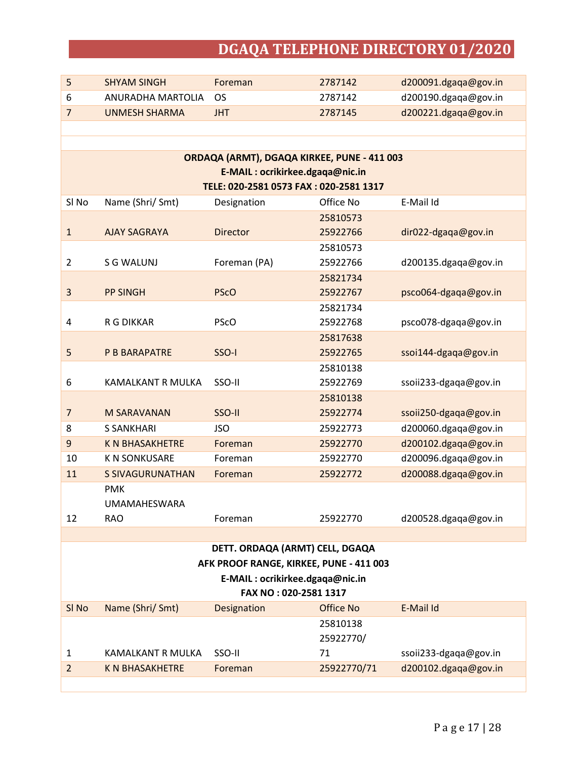| 5                | <b>SHYAM SINGH</b>       | Foreman                                     | 2787142   | d200091.dgaqa@gov.in  |
|------------------|--------------------------|---------------------------------------------|-----------|-----------------------|
| 6                | <b>ANURADHA MARTOLIA</b> | <b>OS</b>                                   | 2787142   | d200190.dgaqa@gov.in  |
| $\overline{7}$   | <b>UNMESH SHARMA</b>     | <b>JHT</b>                                  | 2787145   | d200221.dgaqa@gov.in  |
|                  |                          |                                             |           |                       |
|                  |                          |                                             |           |                       |
|                  |                          | ORDAQA (ARMT), DGAQA KIRKEE, PUNE - 411 003 |           |                       |
|                  |                          | E-MAIL : ocrikirkee.dgaqa@nic.in            |           |                       |
|                  |                          | TELE: 020-2581 0573 FAX: 020-2581 1317      |           |                       |
| SI <sub>No</sub> | Name (Shri/ Smt)         | Designation                                 | Office No | E-Mail Id             |
|                  |                          |                                             | 25810573  |                       |
| $\mathbf{1}$     | <b>AJAY SAGRAYA</b>      | <b>Director</b>                             | 25922766  | dir022-dgaqa@gov.in   |
|                  |                          |                                             | 25810573  |                       |
| $\overline{2}$   | S G WALUNJ               | Foreman (PA)                                | 25922766  | d200135.dgaqa@gov.in  |
|                  |                          |                                             | 25821734  |                       |
| $\overline{3}$   | <b>PP SINGH</b>          | <b>PScO</b>                                 | 25922767  | psco064-dgaqa@gov.in  |
|                  |                          |                                             | 25821734  |                       |
| 4                | R G DIKKAR               | <b>PScO</b>                                 | 25922768  | psco078-dgaqa@gov.in  |
|                  |                          |                                             | 25817638  |                       |
| 5                | P B BARAPATRE            | SSO-I                                       | 25922765  | ssoi144-dgaqa@gov.in  |
|                  |                          |                                             | 25810138  |                       |
| 6                | <b>KAMALKANT R MULKA</b> | SSO-II                                      | 25922769  | ssoii233-dgaqa@gov.in |
|                  |                          |                                             | 25810138  |                       |
| $\overline{7}$   | <b>M SARAVANAN</b>       | SSO-II                                      | 25922774  | ssoii250-dgaqa@gov.in |
| 8                | <b>S SANKHARI</b>        | <b>JSO</b>                                  | 25922773  | d200060.dgaqa@gov.in  |
| 9                | <b>K N BHASAKHETRE</b>   | Foreman                                     | 25922770  | d200102.dgaqa@gov.in  |
| 10               | <b>K N SONKUSARE</b>     | Foreman                                     | 25922770  | d200096.dgaqa@gov.in  |
| 11               | <b>S SIVAGURUNATHAN</b>  | Foreman                                     | 25922772  | d200088.dgaqa@gov.in  |
|                  | <b>PMK</b>               |                                             |           |                       |
|                  | <b>UMAMAHESWARA</b>      |                                             |           |                       |
| 12               | <b>RAO</b>               | Foreman                                     | 25922770  | d200528.dgaqa@gov.in  |
|                  |                          |                                             |           |                       |

| DETT. ORDAQA (ARMT) CELL, DGAQA<br>AFK PROOF RANGE, KIRKEE, PUNE - 411 003<br>E-MAIL: ocrikirkee.dgaqa@nic.in |                        |         |                       |                       |
|---------------------------------------------------------------------------------------------------------------|------------------------|---------|-----------------------|-----------------------|
| FAX NO: 020-2581 1317<br>Name (Shri/ Smt)<br>Office No<br>SI No<br>E-Mail Id<br>Designation                   |                        |         |                       |                       |
|                                                                                                               |                        |         | 25810138<br>25922770/ |                       |
|                                                                                                               | KAMALKANT R MULKA      | SSO-II  | 71                    | ssoii233-dgaga@gov.in |
|                                                                                                               | <b>K N BHASAKHETRE</b> | Foreman | 25922770/71           | d200102.dgaqa@gov.in  |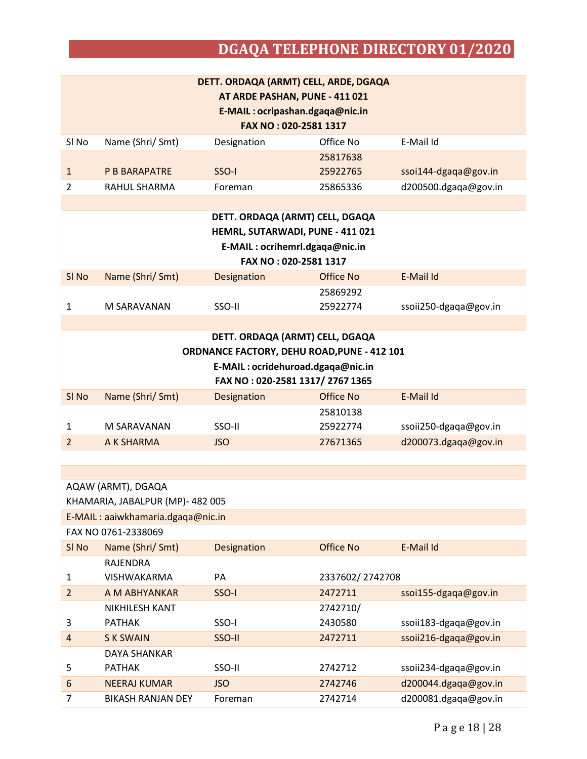| DETT. ORDAQA (ARMT) CELL, ARDE, DGAQA<br>AT ARDE PASHAN, PUNE - 411 021 |                      |             |           |                      |  |
|-------------------------------------------------------------------------|----------------------|-------------|-----------|----------------------|--|
| E-MAIL: ocripashan.dgaqa@nic.in<br>FAX NO: 020-2581 1317                |                      |             |           |                      |  |
| SI No                                                                   | Name (Shri/ Smt)     | Designation | Office No | E-Mail Id            |  |
|                                                                         | 25817638             |             |           |                      |  |
|                                                                         | <b>P B BARAPATRE</b> | SSO-I       | 25922765  | ssoi144-dgaga@gov.in |  |
| 2                                                                       | RAHUL SHARMA         | Foreman     | 25865336  | d200500.dgaqa@gov.in |  |
|                                                                         |                      |             |           |                      |  |

|          | DETT. ORDAQA (ARMT) CELL, DGAQA  |             |           |                       |  |  |
|----------|----------------------------------|-------------|-----------|-----------------------|--|--|
|          | HEMRL, SUTARWADI, PUNE - 411 021 |             |           |                       |  |  |
|          | E-MAIL: ocrihemrl.dgaqa@nic.in   |             |           |                       |  |  |
|          | FAX NO: 020-2581 1317            |             |           |                       |  |  |
| SI No    | Name (Shri/ Smt)                 | Designation | Office No | E-Mail Id             |  |  |
| 25869292 |                                  |             |           |                       |  |  |
|          | M SARAVANAN                      | SSO-II      | 25922774  | ssoii250-dgaga@gov.in |  |  |

| DETT. ORDAQA (ARMT) CELL, DGAQA<br><b>ORDNANCE FACTORY, DEHU ROAD, PUNE - 412 101</b> |                  |             |           |                       |  |  |
|---------------------------------------------------------------------------------------|------------------|-------------|-----------|-----------------------|--|--|
| E-MAIL: ocridehuroad.dgaqa@nic.in<br>FAX NO: 020-2581 1317/2767 1365                  |                  |             |           |                       |  |  |
| SI <sub>No</sub>                                                                      | Name (Shri/ Smt) | Designation | Office No | E-Mail Id             |  |  |
|                                                                                       |                  |             | 25810138  |                       |  |  |
| 1                                                                                     | M SARAVANAN      | SSO-II      | 25922774  | ssoii250-dgaga@gov.in |  |  |
| 2                                                                                     | A K SHARMA       | JSO         | 27671365  | d200073.dgaqa@gov.in  |  |  |

|                | AQAW (ARMT), DGAQA                |             |                 |                       |
|----------------|-----------------------------------|-------------|-----------------|-----------------------|
|                | KHAMARIA, JABALPUR (MP)- 482 005  |             |                 |                       |
|                | E-MAIL: aaiwkhamaria.dgaqa@nic.in |             |                 |                       |
|                | FAX NO 0761-2338069               |             |                 |                       |
| SI No          | Name (Shri/ Smt)                  | Designation | Office No       | E-Mail Id             |
|                | RAJENDRA                          |             |                 |                       |
| 1              | <b>VISHWAKARMA</b>                | <b>PA</b>   | 2337602/2742708 |                       |
| 2              | A M ABHYANKAR                     | SSO-I       | 2472711         | ssoi155-dgaqa@gov.in  |
|                | <b>NIKHILESH KANT</b>             |             | 2742710/        |                       |
| 3              | <b>PATHAK</b>                     | SSO-I       | 2430580         | ssoii183-dgaqa@gov.in |
| $\overline{4}$ | S K SWAIN                         | SSO-II      | 2472711         | ssoii216-dgaqa@gov.in |
|                | DAYA SHANKAR                      |             |                 |                       |
| 5              | <b>PATHAK</b>                     | SSO-II      | 2742712         | ssoii234-dgaqa@gov.in |
| 6              | <b>NEERAJ KUMAR</b>               | <b>JSO</b>  | 2742746         | d200044.dgaqa@gov.in  |
| 7              | <b>BIKASH RANJAN DEY</b>          | Foreman     | 2742714         | d200081.dgaqa@gov.in  |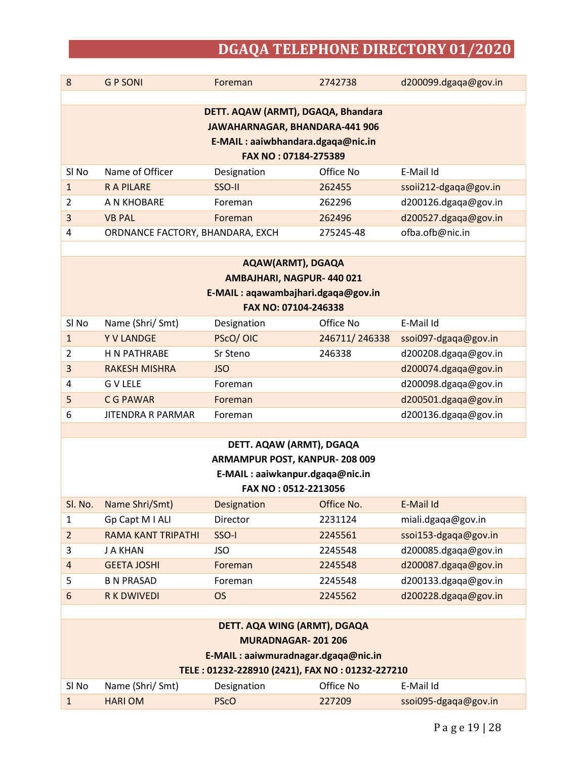| 8                                  | <b>GP SONI</b>  | Foreman                           | 2742738   | d200099.dgaqa@gov.in  |  |  |  |  |
|------------------------------------|-----------------|-----------------------------------|-----------|-----------------------|--|--|--|--|
|                                    |                 |                                   |           |                       |  |  |  |  |
| DETT. AQAW (ARMT), DGAQA, Bhandara |                 |                                   |           |                       |  |  |  |  |
|                                    |                 | JAWAHARNAGAR, BHANDARA-441 906    |           |                       |  |  |  |  |
|                                    |                 | E-MAIL: aaiwbhandara.dgaqa@nic.in |           |                       |  |  |  |  |
|                                    |                 | FAX NO: 07184-275389              |           |                       |  |  |  |  |
| SI No                              | Name of Officer | Designation                       | Office No | E-Mail Id             |  |  |  |  |
| 1                                  | <b>RAPILARE</b> | SSO-II                            | 262455    | ssoii212-dgaqa@gov.in |  |  |  |  |
| 2                                  | A N KHOBARE     | Foreman                           | 262296    | d200126.dgaqa@gov.in  |  |  |  |  |
| 3                                  | <b>VB PAL</b>   | Foreman                           | 262496    | d200527.dgaqa@gov.in  |  |  |  |  |
| 4                                  |                 | ORDNANCE FACTORY, BHANDARA, EXCH  | 275245-48 | ofba.ofb@nic.in       |  |  |  |  |
|                                    |                 |                                   |           |                       |  |  |  |  |

### **AQAW(ARMT), DGAQA AMBAJHARI, NAGPUR- 440 021 E-MAIL [: aqawambajhari.dgaqa@gov.in](mailto:aqawambajhari.dgaqa@gov.in) FAX NO: 07104-246338**

| SI No        | Name (Shri/ Smt)         | Designation    | Office No     | E-Mail Id            |
|--------------|--------------------------|----------------|---------------|----------------------|
| $\mathbf{1}$ | <b>Y V LANDGE</b>        | PScO/OIC       | 246711/246338 | ssoi097-dgaqa@gov.in |
| 2            | H N PATHRABE             | Sr Steno       | 246338        | d200208.dgaqa@gov.in |
| 3            | <b>RAKESH MISHRA</b>     | JSO.           |               | d200074.dgaqa@gov.in |
| 4            | G V LELE                 | Foreman        |               | d200098.dgaqa@gov.in |
| 5            | C G PAWAR                | <b>Foreman</b> |               | d200501.dgaqa@gov.in |
| 6            | <b>JITENDRA R PARMAR</b> | Foreman        |               | d200136.dgaqa@gov.in |
|              |                          |                |               |                      |

### **DETT. AQAW (ARMT), DGAQA ARMAMPUR POST, KANPUR- 208 009 E-MAIL : [aaiwkanpur.dgaqa@nic.in](mailto:aaiwkanpur.dgaqa@nic.in) FAX NO : 0512-2213056**

| Sl. No.        | Name Shri/Smt)            | Designation | Office No. | E-Mail Id            |
|----------------|---------------------------|-------------|------------|----------------------|
|                | Gp Capt M   ALI           | Director    | 2231124    | miali.dgaqa@gov.in   |
| $\mathfrak{p}$ | <b>RAMA KANT TRIPATHI</b> | SSO-I       | 2245561    | ssoi153-dgaqa@gov.in |
| 3              | J A KHAN                  | JSO         | 2245548    | d200085.dgaqa@gov.in |
| $\overline{4}$ | <b>GEETA JOSHI</b>        | Foreman     | 2245548    | d200087.dgaqa@gov.in |
| 5              | <b>B N PRASAD</b>         | Foreman     | 2245548    | d200133.dgaqa@gov.in |
| 6              | <b>R K DWIVEDI</b>        | OS          | 2245562    | d200228.dgaqa@gov.in |

| DETT. AQA WING (ARMT), DGAQA                                       |                                     |                                                 |        |                      |  |  |
|--------------------------------------------------------------------|-------------------------------------|-------------------------------------------------|--------|----------------------|--|--|
| <b>MURADNAGAR-201206</b>                                           |                                     |                                                 |        |                      |  |  |
|                                                                    | E-MAIL: aaiwmuradnagar.dgaqa@nic.in |                                                 |        |                      |  |  |
|                                                                    |                                     | TELE: 01232-228910 (2421), FAX NO: 01232-227210 |        |                      |  |  |
| Name (Shri/ Smt)<br>Office No<br>SI No<br>E-Mail Id<br>Designation |                                     |                                                 |        |                      |  |  |
|                                                                    | <b>HARIOM</b>                       | <b>PScO</b>                                     | 227209 | ssoi095-dgaqa@gov.in |  |  |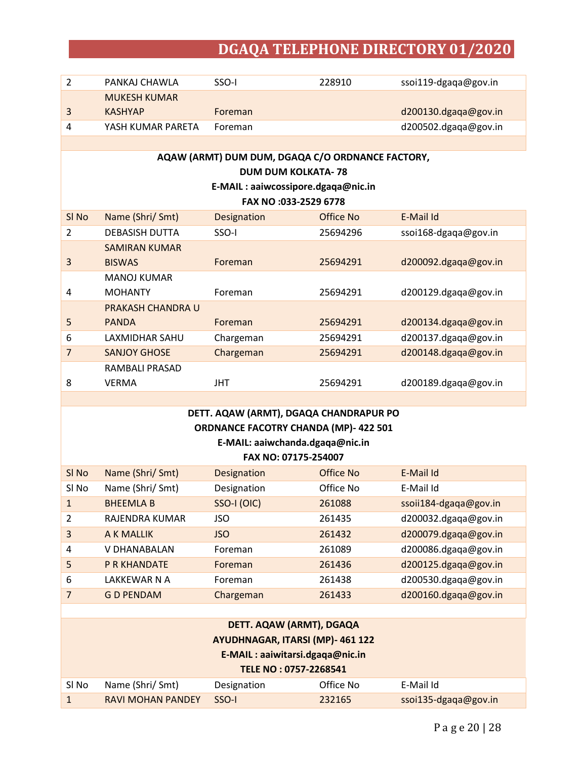| PANKAJ CHAWLA       | SSO-I   | 228910 | ssoi119-dgaqa@gov.in    |
|---------------------|---------|--------|-------------------------|
| <b>MUKESH KUMAR</b> |         |        |                         |
| <b>KASHYAP</b>      | Foreman |        | $d$ 200130.dgaqa@gov.in |
| YASH KUMAR PARETA   | Foreman |        | d200502.dgaqa@gov.in    |

**AQAW (ARMT) DUM DUM, DGAQA C/O ORDNANCE FACTORY,** 

**DUM DUM KOLKATA- 78**

**E-MAIL : [aaiwcossipore.dgaqa@nic.in](mailto:aaiwcossipore.dgaqa@nic.in)**

**FAX NO :033-2529 6778**

| ssoi168-dgaqa@gov.in |
|----------------------|
|                      |
| d200092.dgaqa@gov.in |
|                      |
| d200129.dgaqa@gov.in |
|                      |
| d200134.dgaqa@gov.in |
| d200137.dgaqa@gov.in |
| d200148.dgaqa@gov.in |
|                      |
| d200189.dgaqa@gov.in |
|                      |

### **DETT. AQAW (ARMT), DGAQA CHANDRAPUR PO ORDNANCE FACOTRY CHANDA (MP)- 422 501**

#### **E-MAIL: [aaiwchanda.dgaqa@nic.in](mailto:aaiwchanda.dgaqa@nic.in)**

| SI No         | Name (Shri/ Smt)    | Designation | Office No | E-Mail Id             |
|---------------|---------------------|-------------|-----------|-----------------------|
| SI No         | Name (Shri/ Smt)    | Designation | Office No | E-Mail Id             |
| 1             | <b>BHEEMLA B</b>    | SSO-I (OIC) | 261088    | ssoii184-dgaqa@gov.in |
| $\mathcal{P}$ | RAJENDRA KUMAR      | JSO         | 261435    | d200032.dgaqa@gov.in  |
| 3             | A K MALLIK          | JSO.        | 261432    | d200079.dgaqa@gov.in  |
| 4             | V DHANABALAN        | Foreman     | 261089    | d200086.dgaqa@gov.in  |
| 5             | <b>P R KHANDATE</b> | Foreman     | 261436    | d200125.dgaqa@gov.in  |
| 6             | LAKKEWAR N A        | Foreman     | 261438    | d200530.dgaqa@gov.in  |
|               | <b>GD PENDAM</b>    | Chargeman   | 261433    | d200160.dgaqa@gov.in  |
|               |                     |             |           |                       |

| DETT. AQAW (ARMT), DGAQA         |                          |                                 |           |                      |  |  |
|----------------------------------|--------------------------|---------------------------------|-----------|----------------------|--|--|
| AYUDHNAGAR, ITARSI (MP)- 461 122 |                          |                                 |           |                      |  |  |
|                                  |                          | E-MAIL: aaiwitarsi.dgaqa@nic.in |           |                      |  |  |
|                                  |                          | TELE NO: 0757-2268541           |           |                      |  |  |
| SI No                            | Name (Shri/ Smt)         | Designation                     | Office No | E-Mail Id            |  |  |
|                                  | <b>RAVI MOHAN PANDEY</b> | SSO-I                           | 232165    | ssoi135-dgaqa@gov.in |  |  |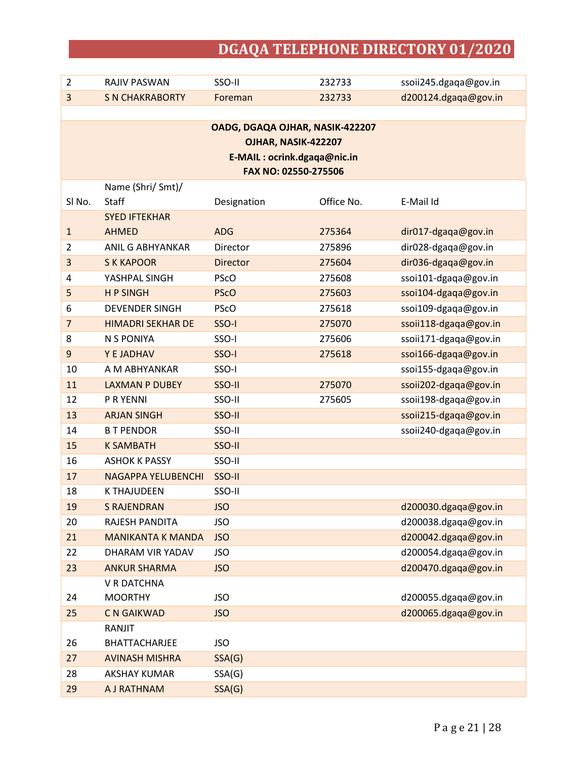| $\overline{2}$ | <b>RAJIV PASWAN</b>       | SSO-II                          | 232733     | ssoii245.dgaqa@gov.in |
|----------------|---------------------------|---------------------------------|------------|-----------------------|
| 3              | <b>S N CHAKRABORTY</b>    | Foreman                         | 232733     | d200124.dgaqa@gov.in  |
|                |                           |                                 |            |                       |
|                |                           | OADG, DGAQA OJHAR, NASIK-422207 |            |                       |
|                |                           | OJHAR, NASIK-422207             |            |                       |
|                |                           | E-MAIL: ocrink.dgaqa@nic.in     |            |                       |
|                |                           | FAX NO: 02550-275506            |            |                       |
|                | Name (Shri/ Smt)/         |                                 |            |                       |
| SI No.         | <b>Staff</b>              | Designation                     | Office No. | E-Mail Id             |
|                | <b>SYED IFTEKHAR</b>      |                                 |            |                       |
| $\mathbf{1}$   | <b>AHMED</b>              | <b>ADG</b>                      | 275364     | dir017-dgaqa@gov.in   |
| $\overline{2}$ | ANIL G ABHYANKAR          | Director                        | 275896     | dir028-dgaqa@gov.in   |
| 3              | <b>S K KAPOOR</b>         | <b>Director</b>                 | 275604     | dir036-dgaqa@gov.in   |
| 4              | YASHPAL SINGH             | <b>PScO</b>                     | 275608     | ssoi101-dgaqa@gov.in  |
| 5              | <b>HP SINGH</b>           | <b>PScO</b>                     | 275603     | ssoi104-dgaqa@gov.in  |
| 6              | <b>DEVENDER SINGH</b>     | <b>PScO</b>                     | 275618     | ssoi109-dgaqa@gov.in  |
| $\overline{7}$ | <b>HIMADRI SEKHAR DE</b>  | SSO-I                           | 275070     | ssoii118-dgaqa@gov.in |
| 8              | N S PONIYA                | SSO-I                           | 275606     | ssoii171-dgaqa@gov.in |
| 9              | Y E JADHAV                | SSO-I                           | 275618     | ssoi166-dgaqa@gov.in  |
| 10             | A M ABHYANKAR             | SSO-I                           |            | ssoi155-dgaqa@gov.in  |
| 11             | <b>LAXMAN P DUBEY</b>     | SSO-II                          | 275070     | ssoii202-dgaqa@gov.in |
| 12             | P R YENNI                 | SSO-II                          | 275605     | ssoii198-dgaqa@gov.in |
| 13             | <b>ARJAN SINGH</b>        | SSO-II                          |            | ssoii215-dgaqa@gov.in |
| 14             | <b>BT PENDOR</b>          | SSO-II                          |            | ssoii240-dgaqa@gov.in |
| 15             | <b>K SAMBATH</b>          | SSO-II                          |            |                       |
| 16             | <b>ASHOK K PASSY</b>      | SSO-II                          |            |                       |
| 17             | <b>NAGAPPA YELUBENCHI</b> | SSO-II                          |            |                       |
| 18             | <b>K THAJUDEEN</b>        | SSO-II                          |            |                       |
| 19             | <b>S RAJENDRAN</b>        | <b>JSO</b>                      |            | d200030.dgaqa@gov.in  |
| 20             | RAJESH PANDITA            | <b>JSO</b>                      |            | d200038.dgaqa@gov.in  |
| 21             | <b>MANIKANTA K MANDA</b>  | <b>JSO</b>                      |            | d200042.dgaqa@gov.in  |
| 22             | DHARAM VIR YADAV          | <b>JSO</b>                      |            | d200054.dgaqa@gov.in  |
| 23             | <b>ANKUR SHARMA</b>       | <b>JSO</b>                      |            | d200470.dgaqa@gov.in  |
|                | <b>V R DATCHNA</b>        |                                 |            |                       |
| 24             | <b>MOORTHY</b>            | <b>JSO</b>                      |            | d200055.dgaqa@gov.in  |
| 25             | <b>C N GAIKWAD</b>        | <b>JSO</b>                      |            | d200065.dgaqa@gov.in  |
|                | RANJIT                    |                                 |            |                       |
| 26             | BHATTACHARJEE             | <b>JSO</b>                      |            |                       |
| 27             | <b>AVINASH MISHRA</b>     | SSA(G)                          |            |                       |
| 28             | <b>AKSHAY KUMAR</b>       | SSA(G)                          |            |                       |
| 29             | A J RATHNAM               | SSA(G)                          |            |                       |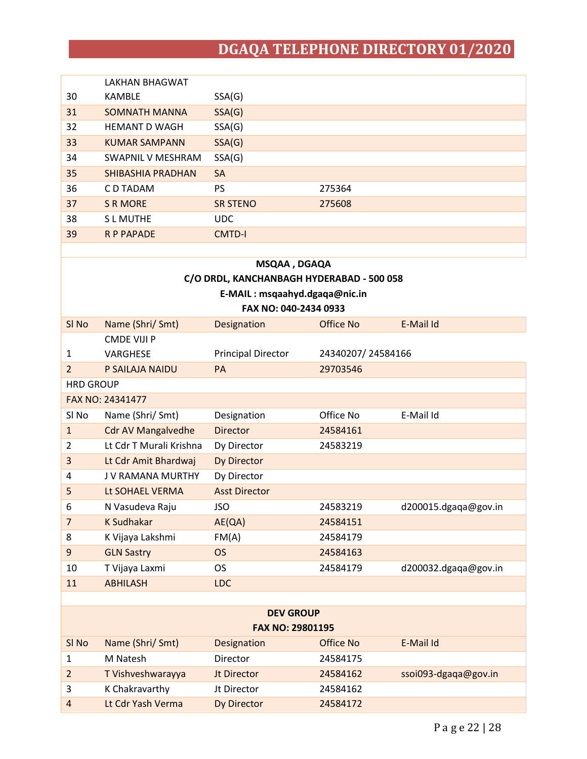|    | LAKHAN BHAGWAT       |                 |        |
|----|----------------------|-----------------|--------|
| 30 | KAMBLE               | SSA(G)          |        |
| 31 | <b>SOMNATH MANNA</b> | SSA(G)          |        |
| 32 | <b>HEMANT D WAGH</b> | SSA(G)          |        |
| 33 | <b>KUMAR SAMPANN</b> | SSA(G)          |        |
| 34 | SWAPNIL V MESHRAM    | SSA(G)          |        |
| 35 | SHIBASHIA PRADHAN    | <b>SA</b>       |        |
| 36 | C D TADAM            | <b>PS</b>       | 275364 |
| 37 | <b>S R MORE</b>      | <b>SR STENO</b> | 275608 |
| 38 | <b>SLMUTHE</b>       | <b>UDC</b>      |        |
| 39 | <b>R P PAPADE</b>    | <b>CMTD-I</b>   |        |
|    |                      |                 |        |

|                  | MSQAA, DGAQA<br>C/O DRDL, KANCHANBAGH HYDERABAD - 500 058 |                           |                   |                      |  |
|------------------|-----------------------------------------------------------|---------------------------|-------------------|----------------------|--|
|                  | E-MAIL: msqaahyd.dgaqa@nic.in                             |                           |                   |                      |  |
|                  |                                                           | FAX NO: 040-2434 0933     |                   |                      |  |
| SI <sub>No</sub> | Name (Shri/ Smt)                                          | Designation               | Office No         | E-Mail Id            |  |
|                  | <b>CMDE VIII P</b>                                        |                           |                   |                      |  |
| 1                | <b>VARGHESE</b>                                           | <b>Principal Director</b> | 24340207/24584166 |                      |  |
| $\overline{2}$   | P SAILAJA NAIDU                                           | PA                        | 29703546          |                      |  |
|                  | <b>HRD GROUP</b>                                          |                           |                   |                      |  |
|                  | FAX NO: 24341477                                          |                           |                   |                      |  |
| SI <sub>No</sub> | Name (Shri/ Smt)                                          | Designation               | Office No         | E-Mail Id            |  |
| $\mathbf{1}$     | <b>Cdr AV Mangalvedhe</b>                                 | <b>Director</b>           | 24584161          |                      |  |
| 2                | Lt Cdr T Murali Krishna                                   | Dy Director               | 24583219          |                      |  |
| $\overline{3}$   | Lt Cdr Amit Bhardwaj                                      | Dy Director               |                   |                      |  |
| 4                | J V RAMANA MURTHY                                         | Dy Director               |                   |                      |  |
| 5                | Lt SOHAEL VERMA                                           | <b>Asst Director</b>      |                   |                      |  |
| 6                | N Vasudeva Raju                                           | <b>JSO</b>                | 24583219          | d200015.dgaqa@gov.in |  |
| $\overline{7}$   | <b>K Sudhakar</b>                                         | AE(QA)                    | 24584151          |                      |  |
| 8                | K Vijaya Lakshmi                                          | FM(A)                     | 24584179          |                      |  |
| 9                | <b>GLN Sastry</b>                                         | <b>OS</b>                 | 24584163          |                      |  |
| 10               | T Vijaya Laxmi                                            | <b>OS</b>                 | 24584179          | d200032.dgaqa@gov.in |  |
| 11               | <b>ABHILASH</b>                                           | <b>LDC</b>                |                   |                      |  |
|                  |                                                           |                           |                   |                      |  |

|                | <b>DEV GROUP</b>        |                    |           |                      |  |
|----------------|-------------------------|--------------------|-----------|----------------------|--|
|                | <b>FAX NO: 29801195</b> |                    |           |                      |  |
| SI No          | Name (Shri/ Smt)        | Designation        | Office No | E-Mail Id            |  |
|                | M Natesh                | <b>Director</b>    | 24584175  |                      |  |
| $\mathcal{P}$  | T Vishveshwarayya       | <b>Jt Director</b> | 24584162  | ssoi093-dgaqa@gov.in |  |
| 3              | K Chakravarthy          | <b>Jt Director</b> | 24584162  |                      |  |
| $\overline{4}$ | Lt Cdr Yash Verma       | Dy Director        | 24584172  |                      |  |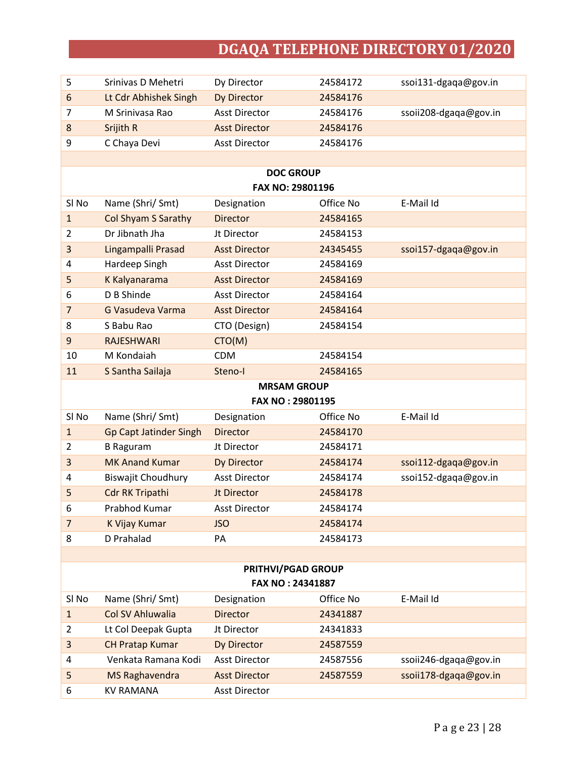| 5                | Srinivas D Mehetri            | Dy Director          | 24584172  | ssoi131-dgaqa@gov.in  |  |
|------------------|-------------------------------|----------------------|-----------|-----------------------|--|
| 6                | Lt Cdr Abhishek Singh         | Dy Director          | 24584176  |                       |  |
| 7                | M Srinivasa Rao               | <b>Asst Director</b> | 24584176  | ssoii208-dgaqa@gov.in |  |
| 8                | Srijith R                     | <b>Asst Director</b> | 24584176  |                       |  |
| 9                | C Chaya Devi                  | <b>Asst Director</b> | 24584176  |                       |  |
|                  |                               |                      |           |                       |  |
|                  |                               | <b>DOC GROUP</b>     |           |                       |  |
|                  |                               | FAX NO: 29801196     |           |                       |  |
| SI <sub>No</sub> | Name (Shri/ Smt)              | Designation          | Office No | E-Mail Id             |  |
| $\mathbf{1}$     | <b>Col Shyam S Sarathy</b>    | <b>Director</b>      | 24584165  |                       |  |
| $\overline{2}$   | Dr Jibnath Jha                | Jt Director          | 24584153  |                       |  |
| 3                | Lingampalli Prasad            | <b>Asst Director</b> | 24345455  | ssoi157-dgaqa@gov.in  |  |
| 4                | Hardeep Singh                 | <b>Asst Director</b> | 24584169  |                       |  |
| 5                | K Kalyanarama                 | <b>Asst Director</b> | 24584169  |                       |  |
| 6                | D B Shinde                    | <b>Asst Director</b> | 24584164  |                       |  |
| 7                | G Vasudeva Varma              | <b>Asst Director</b> | 24584164  |                       |  |
| 8                | S Babu Rao                    | CTO (Design)         | 24584154  |                       |  |
| 9                | <b>RAJESHWARI</b>             | CTO(M)               |           |                       |  |
| 10               | M Kondaiah                    | <b>CDM</b>           | 24584154  |                       |  |
| 11               | S Santha Sailaja              | Steno-I              | 24584165  |                       |  |
|                  |                               | <b>MRSAM GROUP</b>   |           |                       |  |
|                  |                               | FAX NO: 29801195     |           |                       |  |
| SI <sub>No</sub> | Name (Shri/ Smt)              | Designation          | Office No | E-Mail Id             |  |
| $\mathbf{1}$     | <b>Gp Capt Jatinder Singh</b> | <b>Director</b>      | 24584170  |                       |  |
| $\overline{2}$   | <b>B</b> Raguram              | Jt Director          | 24584171  |                       |  |
| 3                | <b>MK Anand Kumar</b>         | Dy Director          | 24584174  | ssoi112-dgaqa@gov.in  |  |
| 4                | <b>Biswajit Choudhury</b>     | <b>Asst Director</b> | 24584174  | ssoi152-dgaqa@gov.in  |  |
| 5                | <b>Cdr RK Tripathi</b>        | <b>Jt Director</b>   | 24584178  |                       |  |
| 6                | Prabhod Kumar                 | <b>Asst Director</b> | 24584174  |                       |  |
| 7                | K Vijay Kumar                 | <b>JSO</b>           | 24584174  |                       |  |
| 8                | D Prahalad                    | PA                   | 24584173  |                       |  |
|                  |                               |                      |           |                       |  |
|                  |                               | PRITHVI/PGAD GROUP   |           |                       |  |
| FAX NO: 24341887 |                               |                      |           |                       |  |
| SI <sub>No</sub> | Name (Shri/ Smt)              | Designation          | Office No | E-Mail Id             |  |
| $\mathbf{1}$     | Col SV Ahluwalia              | <b>Director</b>      | 24341887  |                       |  |
| $\overline{2}$   | Lt Col Deepak Gupta           | Jt Director          | 24341833  |                       |  |
| 3                | <b>CH Pratap Kumar</b>        | Dy Director          | 24587559  |                       |  |
| 4                | Venkata Ramana Kodi           | <b>Asst Director</b> | 24587556  | ssoii246-dgaqa@gov.in |  |
| 5                | <b>MS Raghavendra</b>         | <b>Asst Director</b> | 24587559  | ssoii178-dgaqa@gov.in |  |
| 6                | <b>KV RAMANA</b>              | <b>Asst Director</b> |           |                       |  |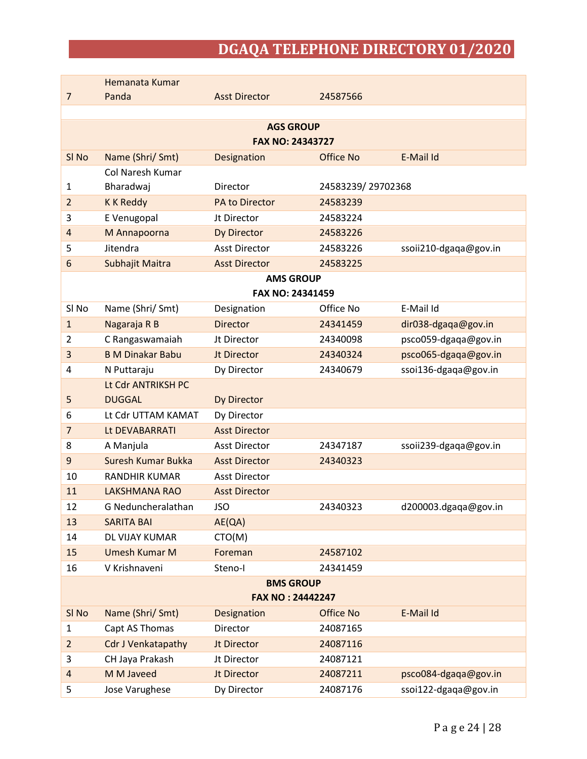|                  | Hemanata Kumar            |                         |                   |                       |  |
|------------------|---------------------------|-------------------------|-------------------|-----------------------|--|
| $\overline{7}$   | Panda                     | <b>Asst Director</b>    | 24587566          |                       |  |
|                  |                           |                         |                   |                       |  |
|                  |                           | <b>AGS GROUP</b>        |                   |                       |  |
|                  |                           | <b>FAX NO: 24343727</b> |                   |                       |  |
| SI <sub>No</sub> | Name (Shri/ Smt)          | Designation             | Office No         | E-Mail Id             |  |
|                  | Col Naresh Kumar          |                         |                   |                       |  |
| 1                | Bharadwaj                 | Director                | 24583239/29702368 |                       |  |
| $\overline{2}$   | <b>KK Reddy</b>           | <b>PA to Director</b>   | 24583239          |                       |  |
| 3                | E Venugopal               | Jt Director             | 24583224          |                       |  |
| $\overline{4}$   | M Annapoorna              | Dy Director             | 24583226          |                       |  |
| 5                | Jitendra                  | <b>Asst Director</b>    | 24583226          | ssoii210-dgaqa@gov.in |  |
| 6                | Subhajit Maitra           | <b>Asst Director</b>    | 24583225          |                       |  |
| <b>AMS GROUP</b> |                           |                         |                   |                       |  |
|                  |                           | FAX NO: 24341459        |                   |                       |  |
| SI <sub>No</sub> | Name (Shri/ Smt)          | Designation             | Office No         | E-Mail Id             |  |
| $\mathbf{1}$     | Nagaraja R B              | <b>Director</b>         | 24341459          | dir038-dgaqa@gov.in   |  |
| $\overline{2}$   | C Rangaswamaiah           | Jt Director             | 24340098          | psco059-dgaqa@gov.in  |  |
| 3                | <b>B M Dinakar Babu</b>   | <b>Jt Director</b>      | 24340324          | psco065-dgaqa@gov.in  |  |
| 4                | N Puttaraju               | Dy Director             | 24340679          | ssoi136-dgaqa@gov.in  |  |
|                  | Lt Cdr ANTRIKSH PC        |                         |                   |                       |  |
| 5                | <b>DUGGAL</b>             | Dy Director             |                   |                       |  |
| 6                | Lt Cdr UTTAM KAMAT        | Dy Director             |                   |                       |  |
| $\overline{7}$   | Lt DEVABARRATI            | <b>Asst Director</b>    |                   |                       |  |
| 8                | A Manjula                 | <b>Asst Director</b>    | 24347187          | ssoii239-dgaqa@gov.in |  |
| 9                | Suresh Kumar Bukka        | <b>Asst Director</b>    | 24340323          |                       |  |
| 10               | <b>RANDHIR KUMAR</b>      | <b>Asst Director</b>    |                   |                       |  |
| 11               | <b>LAKSHMANA RAO</b>      | <b>Asst Director</b>    |                   |                       |  |
| 12               | G Neduncheralathan        | JSO                     | 24340323          | d200003.dgaqa@gov.in  |  |
| 13               | <b>SARITA BAI</b>         | AE(QA)                  |                   |                       |  |
| 14               | DL VIJAY KUMAR            | CTO(M)                  |                   |                       |  |
| 15               | <b>Umesh Kumar M</b>      | Foreman                 | 24587102          |                       |  |
| 16               | V Krishnaveni             | Steno-I                 | 24341459          |                       |  |
|                  | <b>BMS GROUP</b>          |                         |                   |                       |  |
|                  |                           | <b>FAX NO: 24442247</b> |                   |                       |  |
| SI <sub>No</sub> | Name (Shri/ Smt)          | Designation             | Office No         | E-Mail Id             |  |
| $\mathbf{1}$     | Capt AS Thomas            | Director                | 24087165          |                       |  |
| $\overline{2}$   | <b>Cdr J Venkatapathy</b> | <b>Jt Director</b>      | 24087116          |                       |  |
| 3                | CH Jaya Prakash           | Jt Director             | 24087121          |                       |  |
| $\overline{4}$   | M M Javeed                | <b>Jt Director</b>      | 24087211          | psco084-dgaqa@gov.in  |  |
| 5                | Jose Varughese            | Dy Director             | 24087176          | ssoi122-dgaqa@gov.in  |  |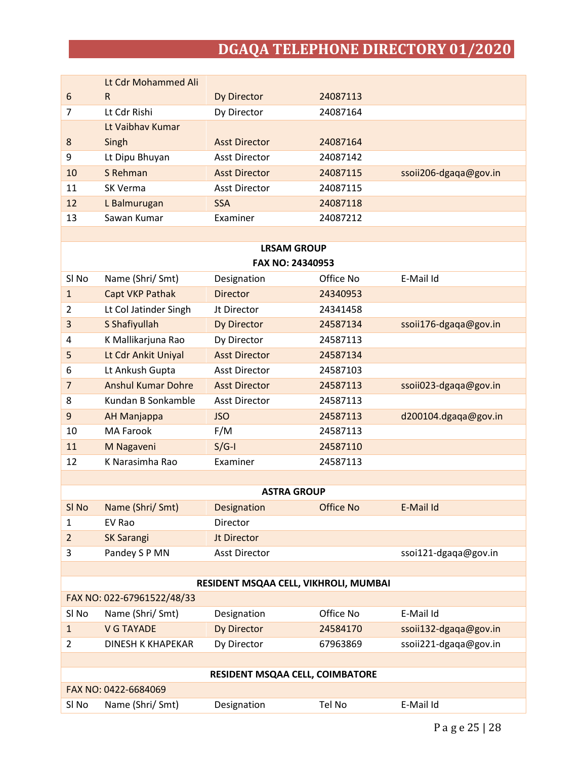|    | Lt Cdr Mohammed Ali |                      |          |                       |
|----|---------------------|----------------------|----------|-----------------------|
| 6  | R                   | Dy Director          | 24087113 |                       |
| 7  | Lt Cdr Rishi        | Dy Director          | 24087164 |                       |
|    | Lt Vaibhay Kumar    |                      |          |                       |
| 8  | Singh               | <b>Asst Director</b> | 24087164 |                       |
| 9  | Lt Dipu Bhuyan      | <b>Asst Director</b> | 24087142 |                       |
| 10 | S Rehman            | <b>Asst Director</b> | 24087115 | ssoii206-dgaqa@gov.in |
| 11 | SK Verma            | <b>Asst Director</b> | 24087115 |                       |
| 12 | L Balmurugan        | <b>SSA</b>           | 24087118 |                       |
| 13 | Sawan Kumar         | Examiner             | 24087212 |                       |

| <b>LRSAM GROUP</b> |                           |                         |           |                       |
|--------------------|---------------------------|-------------------------|-----------|-----------------------|
|                    |                           | <b>FAX NO: 24340953</b> |           |                       |
| SI No              | Name (Shri/ Smt)          | Designation             | Office No | E-Mail Id             |
| $\mathbf{1}$       | Capt VKP Pathak           | <b>Director</b>         | 24340953  |                       |
| 2                  | Lt Col Jatinder Singh     | Jt Director             | 24341458  |                       |
| 3                  | S Shafiyullah             | Dy Director             | 24587134  | ssoii176-dgaqa@gov.in |
| 4                  | K Mallikarjuna Rao        | Dy Director             | 24587113  |                       |
| 5                  | Lt Cdr Ankit Uniyal       | <b>Asst Director</b>    | 24587134  |                       |
| 6                  | Lt Ankush Gupta           | <b>Asst Director</b>    | 24587103  |                       |
| $\overline{7}$     | <b>Anshul Kumar Dohre</b> | <b>Asst Director</b>    | 24587113  | ssoii023-dgaqa@gov.in |
| 8                  | Kundan B Sonkamble        | <b>Asst Director</b>    | 24587113  |                       |
| 9                  | AH Manjappa               | <b>JSO</b>              | 24587113  | d200104.dgaqa@gov.in  |
| 10                 | MA Farook                 | F/M                     | 24587113  |                       |
| 11                 | M Nagaveni                | $S/G-I$                 | 24587110  |                       |
| 12                 | K Narasimha Rao           | Examiner                | 24587113  |                       |

|       | <b>ASTRA GROUP</b> |                      |           |                      |  |
|-------|--------------------|----------------------|-----------|----------------------|--|
| SI No | Name (Shri/ Smt)   | Designation          | Office No | E-Mail Id            |  |
|       | EV Rao             | Director             |           |                      |  |
|       | <b>SK Sarangi</b>  | <b>Jt Director</b>   |           |                      |  |
| 3     | Pandey S P MN      | <b>Asst Director</b> |           | ssoi121-dgaqa@gov.in |  |

### **RESIDENT MSQAA CELL, VIKHROLI, MUMBAI**

|       | FAX NO: 022-67961522/48/33 |             |           |                       |
|-------|----------------------------|-------------|-----------|-----------------------|
| SI No | Name (Shri/ Smt)           | Designation | Office No | E-Mail Id             |
|       | V G TAYADE                 | Dy Director | 24584170  | ssoii132-dgaga@gov.in |
|       | DINESH K KHAPEKAR          | Dy Director | 67963869  | ssoii221-dgaga@gov.in |
|       |                            |             |           |                       |

| <b>RESIDENT MSQAA CELL, COIMBATORE</b> |                      |             |        |           |  |
|----------------------------------------|----------------------|-------------|--------|-----------|--|
|                                        | FAX NO: 0422-6684069 |             |        |           |  |
| SI No                                  | Name (Shri/ Smt)     | Designation | Tel No | E-Mail Id |  |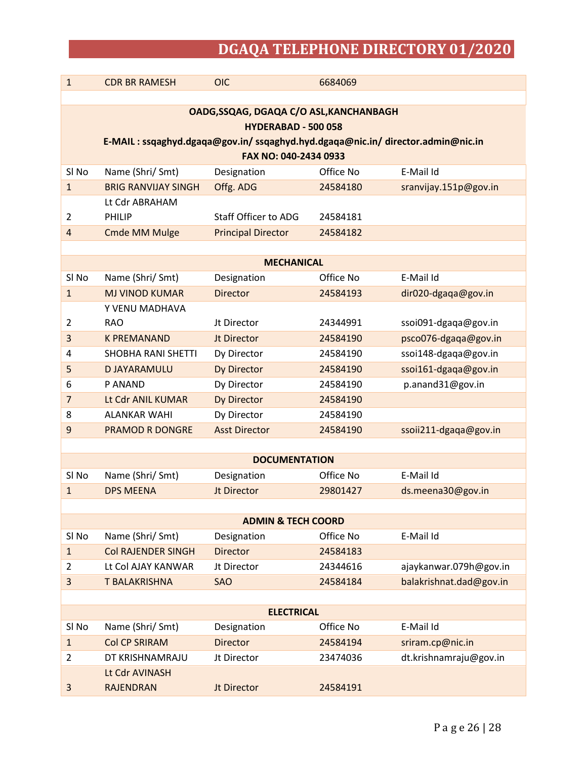| $\mathbf{1}$      | <b>CDR BR RAMESH</b>                                                          | <b>OIC</b>                              | 6684069   |                         |  |
|-------------------|-------------------------------------------------------------------------------|-----------------------------------------|-----------|-------------------------|--|
|                   |                                                                               |                                         |           |                         |  |
|                   |                                                                               | OADG, SSQAG, DGAQA C/O ASL, KANCHANBAGH |           |                         |  |
|                   |                                                                               | HYDERABAD - 500 058                     |           |                         |  |
|                   | E-MAIL: ssqaghyd.dgaqa@gov.in/ssqaghyd.hyd.dgaqa@nic.in/director.admin@nic.in |                                         |           |                         |  |
|                   |                                                                               | FAX NO: 040-2434 0933                   |           |                         |  |
| SI <sub>No</sub>  | Name (Shri/ Smt)                                                              | Designation                             | Office No | E-Mail Id               |  |
| $\mathbf{1}$      | <b>BRIG RANVIJAY SINGH</b>                                                    | Offg. ADG                               | 24584180  | sranvijay.151p@gov.in   |  |
|                   | Lt Cdr ABRAHAM                                                                |                                         |           |                         |  |
| $\overline{2}$    | PHILIP                                                                        | <b>Staff Officer to ADG</b>             | 24584181  |                         |  |
| $\overline{4}$    | <b>Cmde MM Mulge</b>                                                          | <b>Principal Director</b>               | 24584182  |                         |  |
|                   |                                                                               |                                         |           |                         |  |
| <b>MECHANICAL</b> |                                                                               |                                         |           |                         |  |
| SI <sub>No</sub>  | Name (Shri/ Smt)                                                              | Designation                             | Office No | E-Mail Id               |  |
| $\mathbf{1}$      | <b>MJ VINOD KUMAR</b>                                                         | <b>Director</b>                         | 24584193  | dir020-dgaqa@gov.in     |  |
|                   | Y VENU MADHAVA                                                                |                                         |           |                         |  |
| $\overline{2}$    | <b>RAO</b>                                                                    | <b>Jt Director</b>                      | 24344991  | ssoi091-dgaqa@gov.in    |  |
| 3                 | <b>K PREMANAND</b>                                                            | <b>Jt Director</b>                      | 24584190  | psco076-dgaqa@gov.in    |  |
| 4                 | <b>SHOBHA RANI SHETTI</b>                                                     | Dy Director                             | 24584190  | ssoi148-dgaqa@gov.in    |  |
| 5                 | <b>D JAYARAMULU</b>                                                           | Dy Director                             | 24584190  | ssoi161-dgaqa@gov.in    |  |
| 6                 | P ANAND                                                                       | Dy Director                             | 24584190  | p.anand31@gov.in        |  |
| $\overline{7}$    | Lt Cdr ANIL KUMAR                                                             | Dy Director                             | 24584190  |                         |  |
| 8                 | <b>ALANKAR WAHI</b>                                                           | Dy Director                             | 24584190  |                         |  |
| 9                 | <b>PRAMOD R DONGRE</b>                                                        | <b>Asst Director</b>                    | 24584190  | ssoii211-dgaqa@gov.in   |  |
|                   |                                                                               |                                         |           |                         |  |
|                   |                                                                               | <b>DOCUMENTATION</b>                    |           |                         |  |
| SI No             | Name (Shri/ Smt)                                                              | Designation                             | Office No | E-Mail Id               |  |
| $\mathbf{1}$      | <b>DPS MEENA</b>                                                              | <b>Jt Director</b>                      | 29801427  | ds.meena30@gov.in       |  |
|                   |                                                                               |                                         |           |                         |  |
|                   |                                                                               | <b>ADMIN &amp; TECH COORD</b>           |           |                         |  |
| SI No             | Name (Shri/ Smt)                                                              | Designation                             | Office No | E-Mail Id               |  |
| $\mathbf{1}$      | <b>Col RAJENDER SINGH</b>                                                     | <b>Director</b>                         | 24584183  |                         |  |
| $\overline{2}$    | Lt Col AJAY KANWAR                                                            | Jt Director                             | 24344616  | ajaykanwar.079h@gov.in  |  |
| 3                 | T BALAKRISHNA                                                                 | <b>SAO</b>                              | 24584184  | balakrishnat.dad@gov.in |  |
|                   |                                                                               |                                         |           |                         |  |
|                   |                                                                               | <b>ELECTRICAL</b>                       |           |                         |  |
| SI <sub>No</sub>  | Name (Shri/ Smt)                                                              | Designation                             | Office No | E-Mail Id               |  |
| $\mathbf{1}$      | <b>Col CP SRIRAM</b>                                                          | <b>Director</b>                         | 24584194  | sriram.cp@nic.in        |  |
| $\overline{2}$    | DT KRISHNAMRAJU                                                               | Jt Director                             | 23474036  | dt.krishnamraju@gov.in  |  |
|                   | Lt Cdr AVINASH                                                                |                                         |           |                         |  |
| 3                 | <b>RAJENDRAN</b>                                                              | Jt Director                             | 24584191  |                         |  |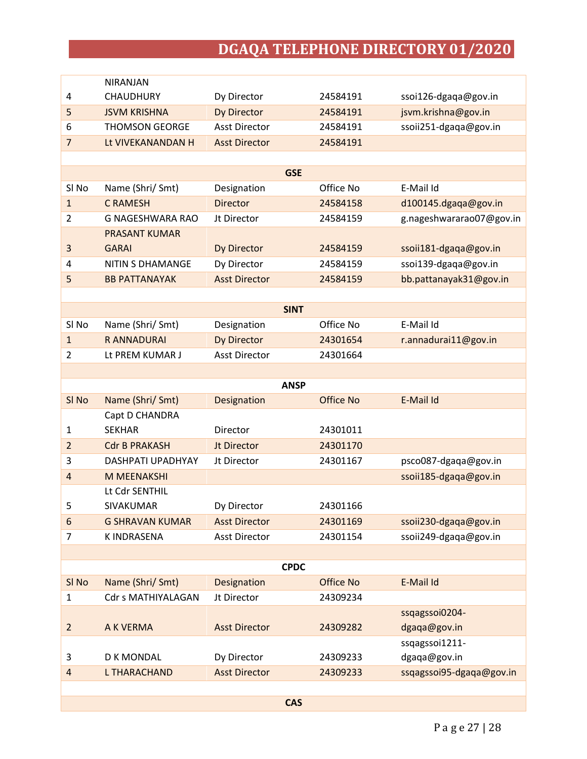|                  | <b>NIRANJAN</b>                 |                      |                  |                          |
|------------------|---------------------------------|----------------------|------------------|--------------------------|
| 4                | <b>CHAUDHURY</b>                | Dy Director          | 24584191         | ssoi126-dgaqa@gov.in     |
| 5                | <b>JSVM KRISHNA</b>             | Dy Director          | 24584191         | jsvm.krishna@gov.in      |
| 6                | <b>THOMSON GEORGE</b>           | <b>Asst Director</b> | 24584191         | ssoii251-dgaqa@gov.in    |
| $\overline{7}$   | Lt VIVEKANANDAN H               | <b>Asst Director</b> | 24584191         |                          |
|                  |                                 |                      |                  |                          |
|                  |                                 |                      | <b>GSE</b>       |                          |
| SI <sub>No</sub> | Name (Shri/ Smt)                | Designation          | Office No        | E-Mail Id                |
| $\mathbf{1}$     | <b>C RAMESH</b>                 | <b>Director</b>      | 24584158         | d100145.dgaqa@gov.in     |
| 2                | G NAGESHWARA RAO                | Jt Director          | 24584159         | g.nageshwararao07@gov.in |
|                  | <b>PRASANT KUMAR</b>            |                      |                  |                          |
| 3                | <b>GARAI</b>                    | Dy Director          | 24584159         | ssoii181-dgaqa@gov.in    |
| 4                | <b>NITIN S DHAMANGE</b>         | Dy Director          | 24584159         | ssoi139-dgaqa@gov.in     |
| 5                | <b>BB PATTANAYAK</b>            | <b>Asst Director</b> | 24584159         | bb.pattanayak31@gov.in   |
|                  |                                 |                      |                  |                          |
|                  |                                 |                      | <b>SINT</b>      |                          |
| SI <sub>No</sub> | Name (Shri/ Smt)                | Designation          | Office No        | E-Mail Id                |
| $\mathbf{1}$     | <b>R ANNADURAI</b>              | Dy Director          | 24301654         | r.annadurai11@gov.in     |
| $\overline{2}$   | Lt PREM KUMAR J                 | <b>Asst Director</b> | 24301664         |                          |
|                  |                                 |                      |                  |                          |
|                  |                                 |                      | <b>ANSP</b>      |                          |
| SI <sub>No</sub> | Name (Shri/ Smt)                | Designation          | <b>Office No</b> | E-Mail Id                |
| 1                | Capt D CHANDRA<br><b>SEKHAR</b> | Director             | 24301011         |                          |
| $\overline{2}$   | <b>Cdr B PRAKASH</b>            | Jt Director          | 24301170         |                          |
| 3                | <b>DASHPATI UPADHYAY</b>        | Jt Director          | 24301167         | psco087-dgaqa@gov.in     |
| $\overline{4}$   | <b>M MEENAKSHI</b>              |                      |                  | ssoii185-dgaqa@gov.in    |
|                  | Lt Cdr SENTHIL                  |                      |                  |                          |
| 5                | SIVAKUMAR                       | Dy Director          | 24301166         |                          |
| 6                | <b>G SHRAVAN KUMAR</b>          | <b>Asst Director</b> | 24301169         | ssoii230-dgaqa@gov.in    |
| $\overline{7}$   | K INDRASENA                     | <b>Asst Director</b> | 24301154         | ssoii249-dgaqa@gov.in    |
|                  |                                 |                      |                  |                          |
|                  |                                 |                      | <b>CPDC</b>      |                          |
| SI No            | Name (Shri/ Smt)                | Designation          | Office No        | E-Mail Id                |
| $\mathbf{1}$     | Cdr s MATHIYALAGAN              | Jt Director          | 24309234         |                          |
|                  |                                 |                      |                  | ssqagssoi0204-           |
| $\overline{2}$   | A K VERMA                       | <b>Asst Director</b> | 24309282         | dgaqa@gov.in             |
|                  |                                 |                      |                  | ssqagssoi1211-           |
| 3                | <b>D K MONDAL</b>               | Dy Director          | 24309233         | dgaqa@gov.in             |
| $\overline{4}$   | <b>L THARACHAND</b>             | <b>Asst Director</b> | 24309233         | ssqagssoi95-dgaqa@gov.in |
|                  |                                 |                      |                  |                          |
|                  |                                 |                      | <b>CAS</b>       |                          |